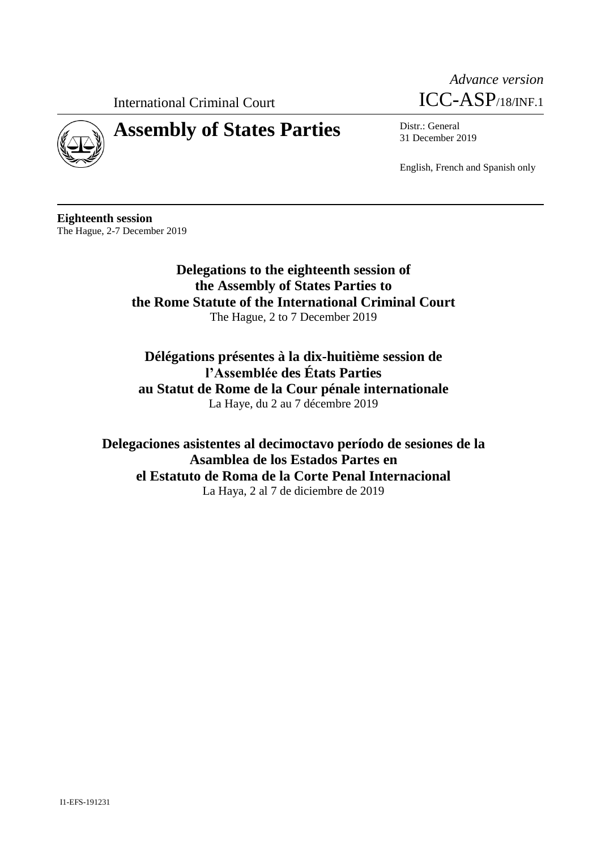International Criminal Court





# **Assembly of States Parties** Distr.: General

31 December 2019

English, French and Spanish only

**Eighteenth session** The Hague, 2-7 December 2019

> **Delegations to the eighteenth session of the Assembly of States Parties to the Rome Statute of the International Criminal Court** The Hague, 2 to 7 December 2019

**Délégations présentes à la dix-huitième session de l'Assemblée des États Parties au Statut de Rome de la Cour pénale internationale** La Haye, du 2 au 7 décembre 2019

**Delegaciones asistentes al decimoctavo período de sesiones de la Asamblea de los Estados Partes en el Estatuto de Roma de la Corte Penal Internacional** La Haya, 2 al 7 de diciembre de 2019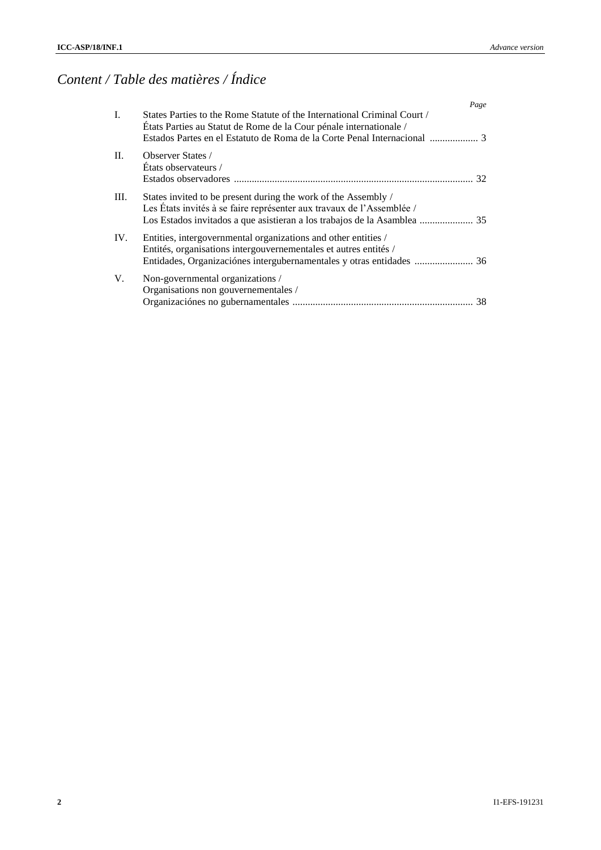# *Content / Table des matières / Índice*

|      | Page                                                                                                                                           |
|------|------------------------------------------------------------------------------------------------------------------------------------------------|
| I.   | States Parties to the Rome Statute of the International Criminal Court /<br>États Parties au Statut de Rome de la Cour pénale internationale / |
| II.  | <b>Observer States</b> /<br>Etats observateurs /<br>32                                                                                         |
| III. | States invited to be present during the work of the Assembly /<br>Les États invités à se faire représenter aux travaux de l'Assemblée /        |
| IV.  | Entities, intergovernmental organizations and other entities /<br>Entités, organisations intergouvernementales et autres entités /             |
| V.   | Non-governmental organizations /<br>Organisations non gouvernementales /                                                                       |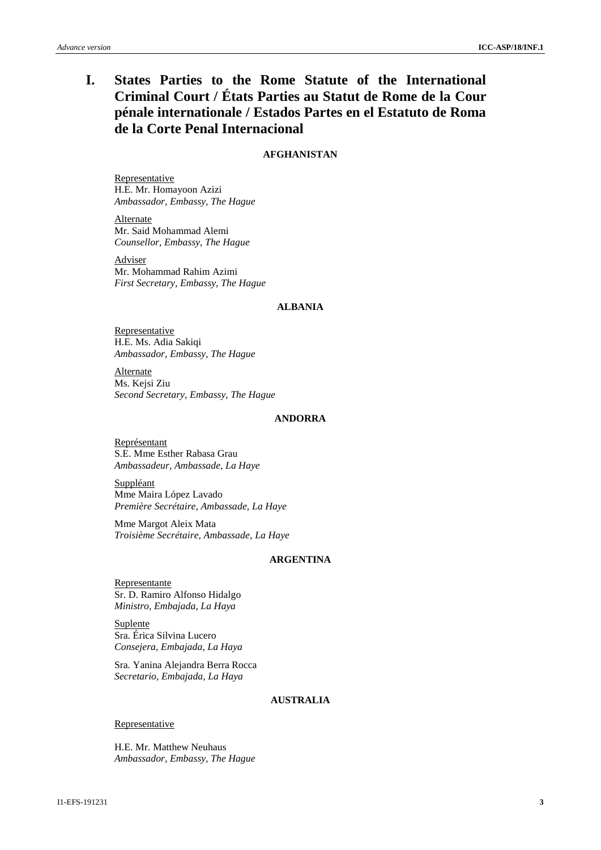# **I. States Parties to the Rome Statute of the International Criminal Court / États Parties au Statut de Rome de la Cour pénale internationale / Estados Partes en el Estatuto de Roma de la Corte Penal Internacional**

# **AFGHANISTAN**

Representative H.E. Mr. Homayoon Azizi *Ambassador, Embassy, The Hague*

Alternate Mr. Said Mohammad Alemi *Counsellor, Embassy, The Hague*

Adviser Mr. Mohammad Rahim Azimi *First Secretary, Embassy, The Hague*

# **ALBANIA**

**Representative** H.E. Ms. Adia Sakiqi *Ambassador, Embassy, The Hague*

Alternate Ms. Kejsi Ziu *Second Secretary, Embassy, The Hague*

# **ANDORRA**

Représentant S.E. Mme Esther Rabasa Grau *Ambassadeur, Ambassade, La Haye*

Suppléant Mme Maira López Lavado *Première Secrétaire, Ambassade, La Haye*

Mme Margot Aleix Mata *Troisième Secrétaire, Ambassade, La Haye*

# **ARGENTINA**

Representante Sr. D. Ramiro Alfonso Hidalgo *Ministro, Embajada, La Haya*

**Suplente** Sra. Érica Silvina Lucero *Consejera, Embajada, La Haya*

Sra. Yanina Alejandra Berra Rocca *Secretario, Embajada, La Haya*

# **AUSTRALIA**

**Representative** 

H.E. Mr. Matthew Neuhaus *Ambassador, Embassy, The Hague*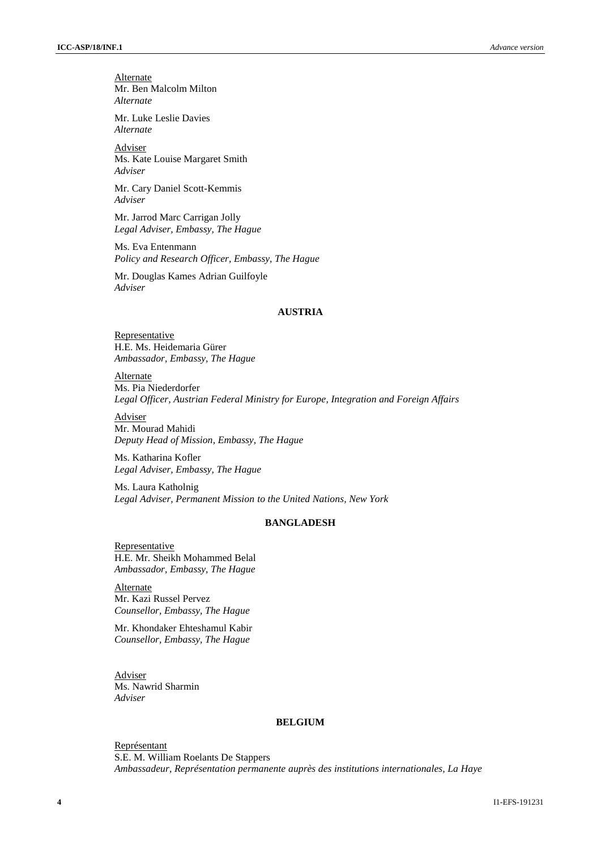**Alternate** Mr. Ben Malcolm Milton *Alternate*

Mr. Luke Leslie Davies *Alternate*

Adviser Ms. Kate Louise Margaret Smith *Adviser*

Mr. Cary Daniel Scott-Kemmis *Adviser*

Mr. Jarrod Marc Carrigan Jolly *Legal Adviser, Embassy, The Hague*

Ms. Eva Entenmann *Policy and Research Officer, Embassy, The Hague*

Mr. Douglas Kames Adrian Guilfoyle *Adviser*

#### **AUSTRIA**

**Representative** H.E. Ms. Heidemaria Gürer *Ambassador, Embassy, The Hague*

**Alternate** Ms. Pia Niederdorfer *Legal Officer, Austrian Federal Ministry for Europe, Integration and Foreign Affairs*

Adviser

Mr. Mourad Mahidi *Deputy Head of Mission, Embassy, The Hague*

Ms. Katharina Kofler *Legal Adviser, Embassy, The Hague*

Ms. Laura Katholnig *Legal Adviser, Permanent Mission to the United Nations, New York*

# **BANGLADESH**

Representative H.E. Mr. Sheikh Mohammed Belal *Ambassador, Embassy, The Hague*

Alternate Mr. Kazi Russel Pervez *Counsellor, Embassy, The Hague*

Mr. Khondaker Ehteshamul Kabir *Counsellor, Embassy, The Hague*

Adviser Ms. Nawrid Sharmin *Adviser*

#### **BELGIUM**

Représentant S.E. M. William Roelants De Stappers *Ambassadeur, Représentation permanente auprès des institutions internationales, La Haye*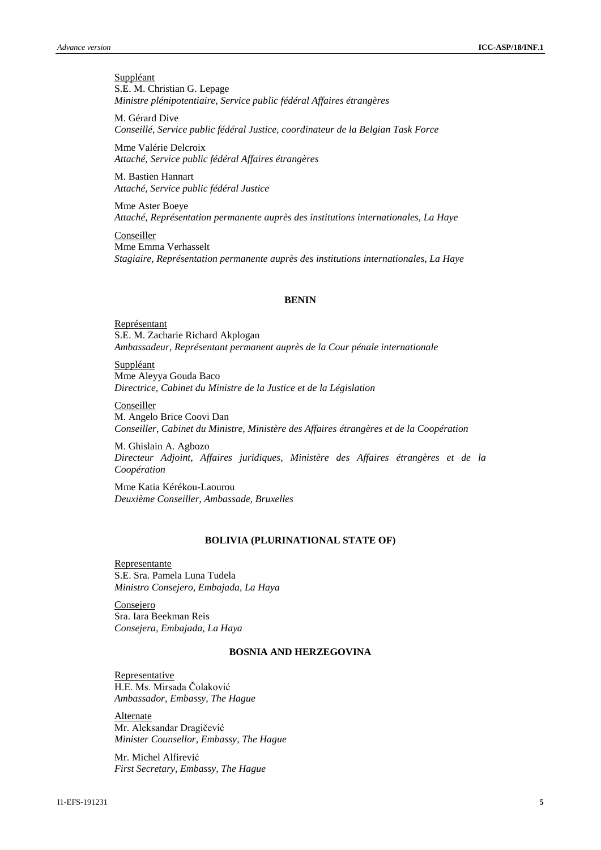**Suppléant** S.E. M. Christian G. Lepage *Ministre plénipotentiaire, Service public fédéral Affaires étrangères*

M. Gérard Dive *Conseillé, Service public fédéral Justice, coordinateur de la Belgian Task Force*

Mme Valérie Delcroix *Attaché, Service public fédéral Affaires étrangères*

M. Bastien Hannart *Attaché, Service public fédéral Justice*

Mme Aster Boeye *Attaché, Représentation permanente auprès des institutions internationales, La Haye*

Conseiller Mme Emma Verhasselt *Stagiaire, Représentation permanente auprès des institutions internationales, La Haye*

#### **BENIN**

Représentant S.E. M. Zacharie Richard Akplogan *Ambassadeur, Représentant permanent auprès de la Cour pénale internationale*

Suppléant Mme Aleyya Gouda Baco *Directrice, Cabinet du Ministre de la Justice et de la Législation*

#### Conseiller

M. Angelo Brice Coovi Dan *Conseiller, Cabinet du Ministre, Ministère des Affaires étrangères et de la Coopération*

M. Ghislain A. Agbozo *Directeur Adjoint, Affaires juridiques, Ministère des Affaires étrangères et de la Coopération*

Mme Katia Kérékou-Laourou *Deuxième Conseiller, Ambassade, Bruxelles* 

# **BOLIVIA (PLURINATIONAL STATE OF)**

Representante S.E. Sra. Pamela Luna Tudela *Ministro Consejero, Embajada, La Haya*

Consejero Sra. Iara Beekman Reis *Consejera, Embajada, La Haya*

#### **BOSNIA AND HERZEGOVINA**

**Representative** H.E. Ms. Mirsada Čolaković *Ambassador, Embassy, The Hague*

Alternate Mr. Aleksandar Dragičević *Minister Counsellor, Embassy, The Hague*

Mr. Michel Alfirević *First Secretary, Embassy, The Hague*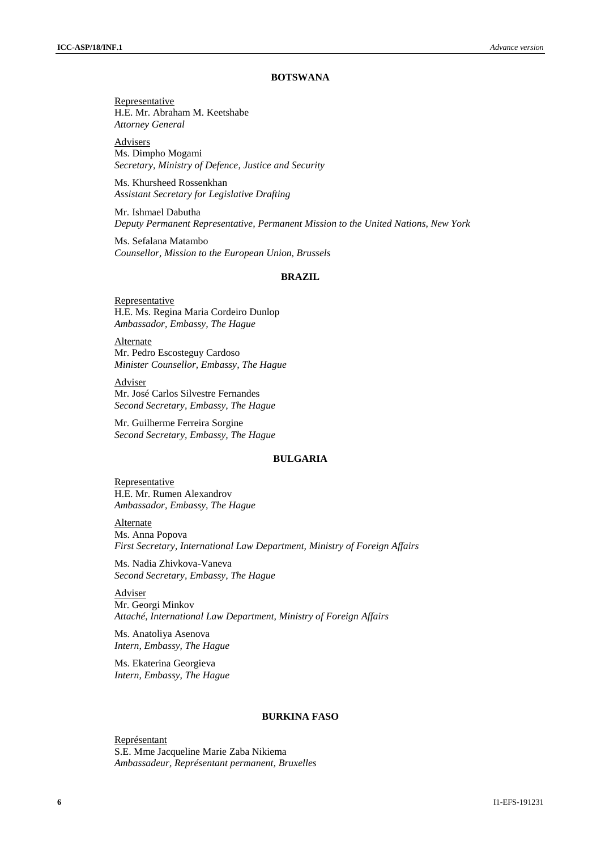#### **BOTSWANA**

**Representative** H.E. Mr. Abraham M. Keetshabe *Attorney General*

**Advisers** Ms. Dimpho Mogami *Secretary, Ministry of Defence, Justice and Security*

Ms. Khursheed Rossenkhan *Assistant Secretary for Legislative Drafting*

Mr. Ishmael Dabutha *Deputy Permanent Representative, Permanent Mission to the United Nations, New York*

Ms. Sefalana Matambo *Counsellor, Mission to the European Union, Brussels*

#### **BRAZIL**

**Representative** H.E. Ms. Regina Maria Cordeiro Dunlop *Ambassador, Embassy, The Hague*

**Alternate** Mr. Pedro Escosteguy Cardoso *Minister Counsellor, Embassy, The Hague*

Adviser Mr. José Carlos Silvestre Fernandes *Second Secretary, Embassy, The Hague*

Mr. Guilherme Ferreira Sorgine *Second Secretary, Embassy, The Hague*

#### **BULGARIA**

Representative H.E. Mr. Rumen Alexandrov *Ambassador, Embassy, The Hague*

**Alternate** Ms. Anna Popova *First Secretary, International Law Department, Ministry of Foreign Affairs*

Ms. Nadia Zhivkova-Vaneva *Second Secretary, Embassy, The Hague*

Adviser Mr. Georgi Minkov *Attaché, International Law Department, Ministry of Foreign Affairs*

Ms. Anatoliya Asenova *Intern, Embassy, The Hague*

Ms. Ekaterina Georgieva *Intern, Embassy, The Hague*

#### **BURKINA FASO**

Représentant S.E. Mme Jacqueline Marie Zaba Nikiema *Ambassadeur, Représentant permanent, Bruxelles*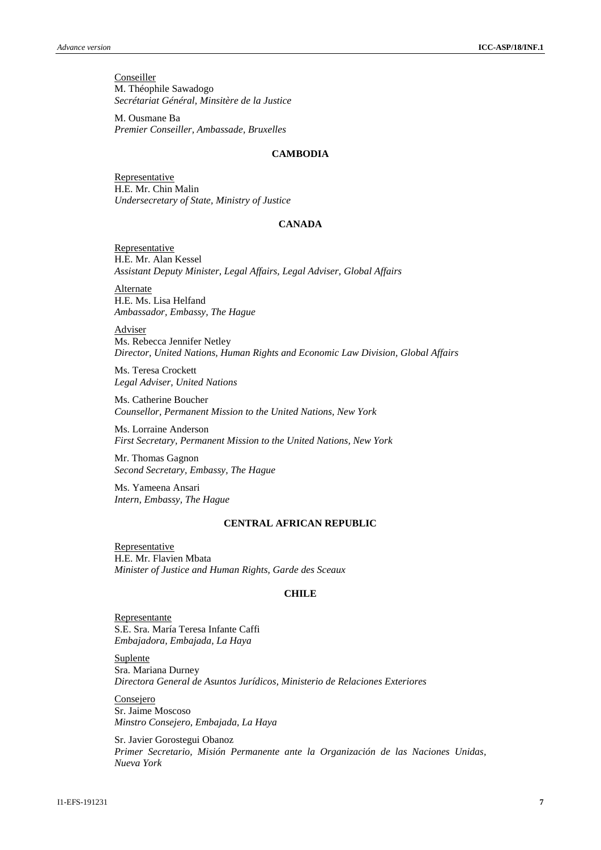**Conseiller** M. Théophile Sawadogo *Secrétariat Général, Minsitère de la Justice*

M. Ousmane Ba *Premier Conseiller, Ambassade, Bruxelles*

## **CAMBODIA**

**Representative** H.E. Mr. Chin Malin *Undersecretary of State, Ministry of Justice*

#### **CANADA**

**Representative** H.E. Mr. Alan Kessel *Assistant Deputy Minister, Legal Affairs, Legal Adviser, Global Affairs*

Alternate H.E. Ms. Lisa Helfand *Ambassador, Embassy, The Hague*

Adviser Ms. Rebecca Jennifer Netley *Director, United Nations, Human Rights and Economic Law Division, Global Affairs*

Ms. Teresa Crockett *Legal Adviser, United Nations*

Ms. Catherine Boucher *Counsellor, Permanent Mission to the United Nations, New York*

Ms. Lorraine Anderson *First Secretary, Permanent Mission to the United Nations, New York*

Mr. Thomas Gagnon *Second Secretary, Embassy, The Hague*

Ms. Yameena Ansari *Intern, Embassy, The Hague*

# **CENTRAL AFRICAN REPUBLIC**

**Representative** H.E. Mr. Flavien Mbata *Minister of Justice and Human Rights, Garde des Sceaux*

# **CHILE**

Representante S.E. Sra. María Teresa Infante Caffi *Embajadora, Embajada, La Haya*

**Suplente** Sra. Mariana Durney *Directora General de Asuntos Jurídicos, Ministerio de Relaciones Exteriores*

**Consejero** Sr. Jaime Moscoso *Minstro Consejero, Embajada, La Haya*

Sr. Javier Gorostegui Obanoz *Primer Secretario, Misión Permanente ante la Organización de las Naciones Unidas, Nueva York*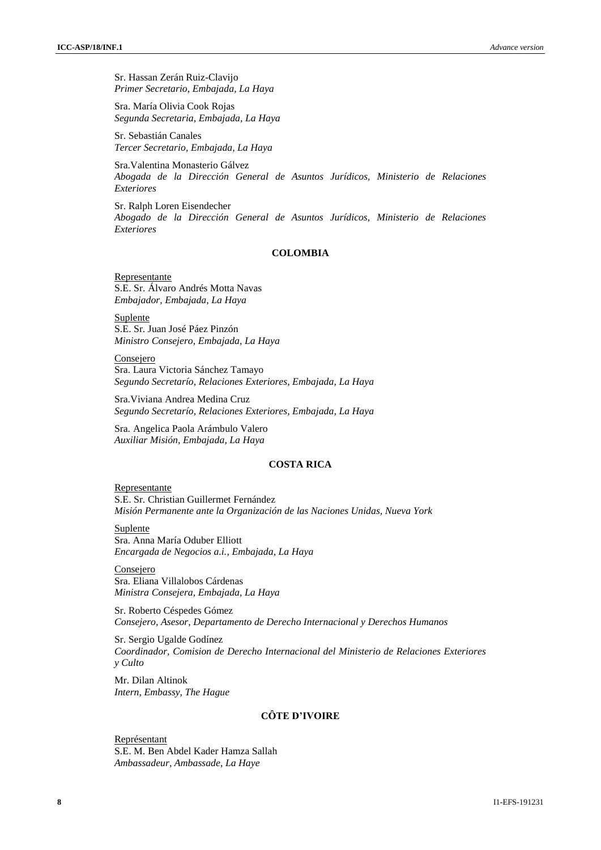Sr. Hassan Zerán Ruiz-Clavijo *Primer Secretario, Embajada, La Haya*

Sra. María Olivia Cook Rojas *Segunda Secretaria, Embajada, La Haya*

Sr. Sebastián Canales *Tercer Secretario, Embajada, La Haya*

Sra.Valentina Monasterio Gálvez *Abogada de la Dirección General de Asuntos Jurídicos, Ministerio de Relaciones Exteriores*

Sr. Ralph Loren Eisendecher *Abogado de la Dirección General de Asuntos Jurídicos, Ministerio de Relaciones Exteriores*

# **COLOMBIA**

Representante S.E. Sr. Álvaro Andrés Motta Navas *Embajador, Embajada, La Haya*

Suplente S.E. Sr. Juan José Páez Pinzón *Ministro Consejero, Embajada, La Haya*

**Consejero** Sra. Laura Victoria Sánchez Tamayo *Segundo Secretarío, Relaciones Exteriores, Embajada, La Haya*

Sra.Viviana Andrea Medina Cruz *Segundo Secretarío, Relaciones Exteriores, Embajada, La Haya*

Sra. Angelica Paola Arámbulo Valero *Auxiliar Misión, Embajada, La Haya*

#### **COSTA RICA**

Representante S.E. Sr. Christian Guillermet Fernández *Misión Permanente ante la Organización de las Naciones Unidas, Nueva York*

Suplente Sra. Anna María Oduber Elliott *Encargada de Negocios a.i., Embajada, La Haya*

Consejero Sra. Eliana Villalobos Cárdenas *Ministra Consejera, Embajada, La Haya*

Sr. Roberto Céspedes Gómez *Consejero, Asesor, Departamento de Derecho Internacional y Derechos Humanos*

Sr. Sergio Ugalde Godínez *Coordinador, Comision de Derecho Internacional del Ministerio de Relaciones Exteriores y Culto*

Mr. Dilan Altinok *Intern, Embassy, The Hague* 

# **CÔTE D'IVOIRE**

Représentant S.E. M. Ben Abdel Kader Hamza Sallah *Ambassadeur, Ambassade, La Haye*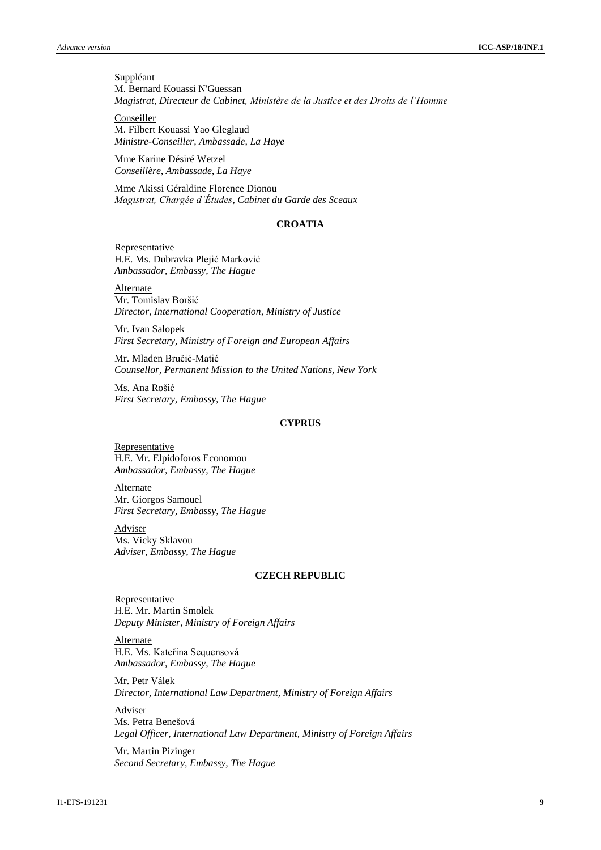**Suppléant** M. Bernard Kouassi N'Guessan *Magistrat, Directeur de Cabinet, Ministère de la Justice et des Droits de l'Homme*

Conseiller M. Filbert Kouassi Yao Gleglaud *Ministre-Conseiller, Ambassade, La Haye*

Mme Karine Désiré Wetzel *Conseillère, Ambassade, La Haye*

Mme Akissi Géraldine Florence Dionou *Magistrat, Chargée d'Études, Cabinet du Garde des Sceaux*

# **CROATIA**

**Representative** H.E. Ms. Dubravka Plejić Marković *Ambassador, Embassy, The Hague*

**Alternate** Mr. Tomislav Boršić *Director, International Cooperation, Ministry of Justice*

Mr. Ivan Salopek *First Secretary, Ministry of Foreign and European Affairs*

Mr. Mladen Bručić-Matić *Counsellor, Permanent Mission to the United Nations, New York*

Ms. Ana Rošić *First Secretary, Embassy, The Hague*

# **CYPRUS**

**Representative** H.E. Mr. Elpidoforos Economou *Ambassador, Embassy, The Hague*

**Alternate** Mr. Giorgos Samouel *First Secretary, Embassy, The Hague*

**Adviser** Ms. Vicky Sklavou *Adviser, Embassy, The Hague*

#### **CZECH REPUBLIC**

Representative H.E. Mr. Martin Smolek *Deputy Minister, Ministry of Foreign Affairs*

Alternate H.E. Ms. Kateřina Sequensová *Ambassador, Embassy, The Hague*

Mr. Petr Válek *Director, International Law Department, Ministry of Foreign Affairs*

Adviser Ms. Petra Benešová *Legal Officer, International Law Department, Ministry of Foreign Affairs*

Mr. Martin Pizinger *Second Secretary, Embassy, The Hague*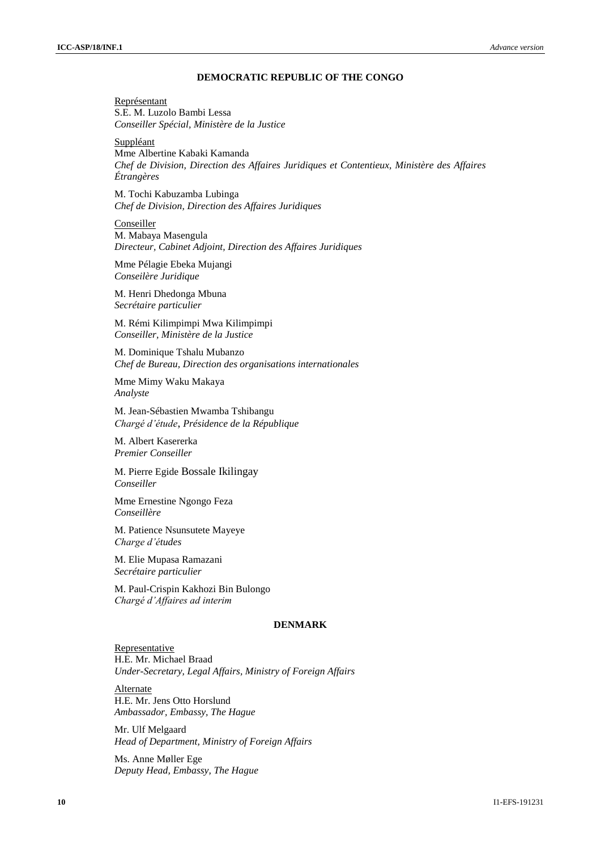# **DEMOCRATIC REPUBLIC OF THE CONGO**

Représentant S.E. M. Luzolo Bambi Lessa *Conseiller Spécial, Ministère de la Justice*

**Suppléant** 

Mme Albertine Kabaki Kamanda *Chef de Division, Direction des Affaires Juridiques et Contentieux, Ministère des Affaires Étrangères*

M. Tochi Kabuzamba Lubinga *Chef de Division, Direction des Affaires Juridiques*

Conseiller M. Mabaya Masengula *Directeur, Cabinet Adjoint, Direction des Affaires Juridiques*

Mme Pélagie Ebeka Mujangi *Conseilère Juridique*

M. Henri Dhedonga Mbuna *Secrétaire particulier*

M. Rémi Kilimpimpi Mwa Kilimpimpi *Conseiller, Ministère de la Justice*

M. Dominique Tshalu Mubanzo *Chef de Bureau, Direction des organisations internationales*

Mme Mimy Waku Makaya *Analyste*

M. Jean-Sébastien Mwamba Tshibangu *Chargé d'étude*, *Présidence de la République*

M. Albert Kasererka *Premier Conseiller*

M. Pierre Egide Bossale Ikilingay *Conseiller*

Mme Ernestine Ngongo Feza *Conseillère*

M. Patience Nsunsutete Mayeye *Charge d'études*

M. Elie Mupasa Ramazani *Secrétaire particulier*

M. Paul-Crispin Kakhozi Bin Bulongo *Chargé d'Affaires ad interim*

# **DENMARK**

Representative H.E. Mr. Michael Braad *Under-Secretary, Legal Affairs, Ministry of Foreign Affairs*

Alternate H.E. Mr. Jens Otto Horslund *Ambassador, Embassy, The Hague*

Mr. Ulf Melgaard *Head of Department, Ministry of Foreign Affairs*

Ms. Anne Møller Ege *Deputy Head, Embassy, The Hague*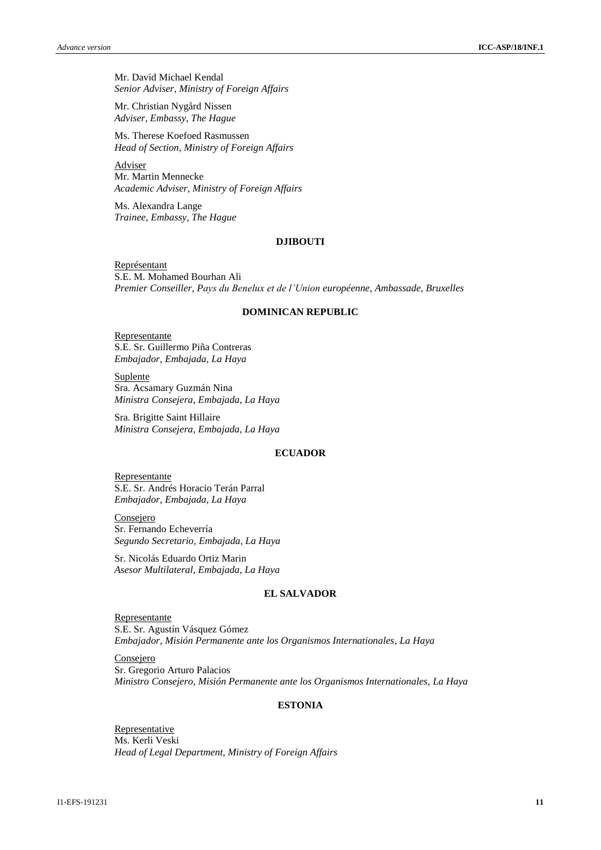Mr. David Michael Kendal *Senior Adviser, Ministry of Foreign Affairs*

Mr. Christian Nygård Nissen *Adviser, Embassy, The Hague*

Ms. Therese Koefoed Rasmussen *Head of Section, Ministry of Foreign Affairs*

Adviser Mr. Martin Mennecke *Academic Adviser, Ministry of Foreign Affairs*

Ms. Alexandra Lange *Trainee, Embassy, The Hague*

# **DJIBOUTI**

Représentant S.E. M. Mohamed Bourhan Ali *Premier Conseiller, Pays du Benelux et de l'Union européenne, Ambassade, Bruxelles*

#### **DOMINICAN REPUBLIC**

Representante S.E. Sr. Guillermo Piña Contreras *Embajador, Embajada, La Haya*

Suplente Sra. Acsamary Guzmán Nina *Ministra Consejera, Embajada, La Haya*

Sra. Brigitte Saint Hillaire *Ministra Consejera, Embajada, La Haya*

# **ECUADOR**

Representante S.E. Sr. Andrés Horacio Terán Parral *Embajador, Embajada, La Haya*

Consejero Sr. Fernando Echeverría *Segundo Secretario, Embajada, La Haya*

Sr. Nicolás Eduardo Ortiz Marin *Asesor Multilateral, Embajada, La Haya*

# **EL SALVADOR**

Representante S.E. Sr. Agustín Vásquez Gómez *Embajador, Misión Permanente ante los Organismos Internationales, La Haya*

**Consejero** Sr. Gregorio Arturo Palacios *Ministro Consejero, Misión Permanente ante los Organismos Internationales, La Haya*

# **ESTONIA**

**Representative** Ms. Kerli Veski *Head of Legal Department, Ministry of Foreign Affairs*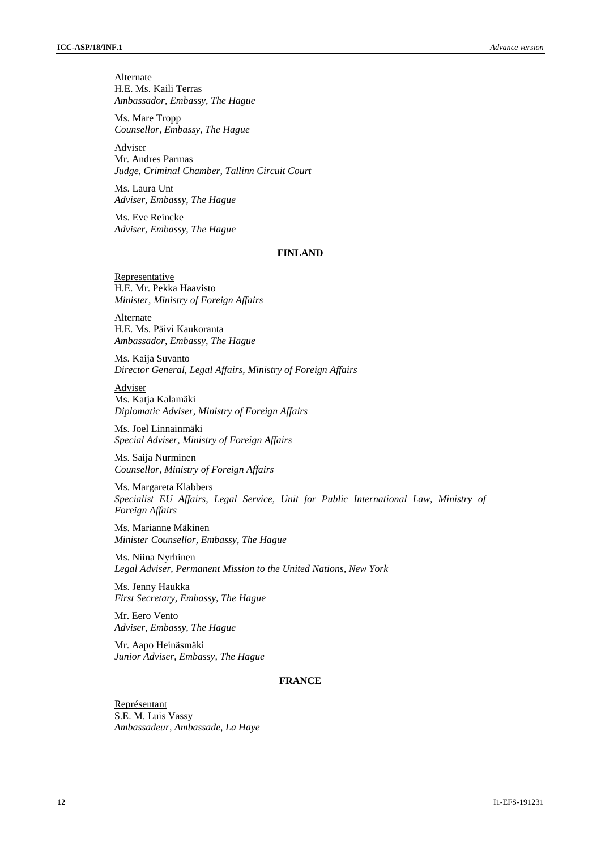**Alternate** H.E. Ms. Kaili Terras *Ambassador, Embassy, The Hague*

Ms. Mare Tropp *Counsellor, Embassy, The Hague*

Adviser Mr. Andres Parmas *Judge, Criminal Chamber, Tallinn Circuit Court*

Ms. Laura Unt *Adviser, Embassy, The Hague*

Ms. Eve Reincke *Adviser, Embassy, The Hague*

# **FINLAND**

Representative H.E. Mr. Pekka Haavisto *Minister, Ministry of Foreign Affairs*

Alternate H.E. Ms. Päivi Kaukoranta *Ambassador, Embassy, The Hague*

Ms. Kaija Suvanto *Director General, Legal Affairs, Ministry of Foreign Affairs*

Adviser Ms. Katja Kalamäki *Diplomatic Adviser, Ministry of Foreign Affairs*

Ms. Joel Linnainmäki *Special Adviser, Ministry of Foreign Affairs*

Ms. Saija Nurminen *Counsellor, Ministry of Foreign Affairs*

Ms. Margareta Klabbers *Specialist EU Affairs, Legal Service, Unit for Public International Law, Ministry of Foreign Affairs*

Ms. Marianne Mäkinen *Minister Counsellor, Embassy, The Hague*

Ms. Niina Nyrhinen *Legal Adviser, Permanent Mission to the United Nations, New York*

Ms. Jenny Haukka *First Secretary, Embassy, The Hague*

Mr. Eero Vento *Adviser, Embassy, The Hague*

Mr. Aapo Heinäsmäki *Junior Adviser, Embassy, The Hague*

# **FRANCE**

Représentant S.E. M. Luis Vassy *Ambassadeur, Ambassade, La Haye*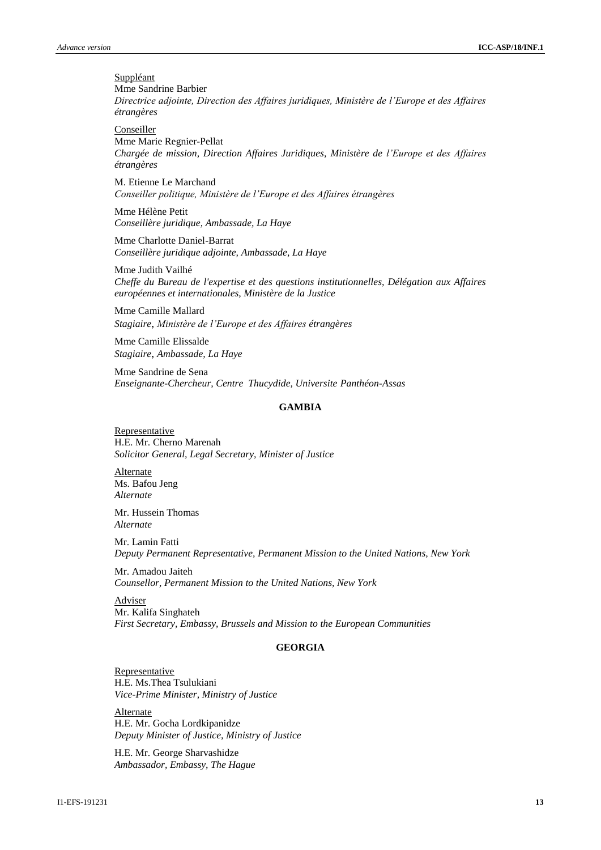**Suppléant** Mme Sandrine Barbier *Directrice adjointe, Direction des Affaires juridiques, Ministère de l'Europe et des Affaires étrangères*

Conseiller

Mme Marie Regnier-Pellat *Chargée de mission, Direction Affaires Juridiques, Ministère de l'Europe et des Affaires étrangères*

M. Etienne Le Marchand *Conseiller politique, Ministère de l'Europe et des Affaires étrangères*

Mme Hélène Petit *Conseillère juridique, Ambassade, La Haye*

Mme Charlotte Daniel-Barrat *Conseillère juridique adjointe, Ambassade, La Haye*

Mme Judith Vailhé *Cheffe du Bureau de l'expertise et des questions institutionnelles, Délégation aux Affaires européennes et internationales, Ministère de la Justice*

Mme Camille Mallard *Stagiaire*, *Ministère de l'Europe et des Affaires étrangères*

Mme Camille Elissalde *Stagiaire*, *Ambassade, La Haye*

Mme Sandrine de Sena *Enseignante-Chercheur, Centre Thucydide, Universite Panthéon-Assas*

#### **GAMBIA**

Representative H.E. Mr. Cherno Marenah *Solicitor General, Legal Secretary, Minister of Justice*

**Alternate** Ms. Bafou Jeng *Alternate*

Mr. Hussein Thomas *Alternate*

Mr. Lamin Fatti *Deputy Permanent Representative, Permanent Mission to the United Nations, New York*

Mr. Amadou Jaiteh *Counsellor, Permanent Mission to the United Nations, New York*

Adviser Mr. Kalifa Singhateh *First Secretary, Embassy, Brussels and Mission to the European Communities*

# **GEORGIA**

Representative H.E. Ms.Thea Tsulukiani *Vice-Prime Minister, Ministry of Justice*

**Alternate** H.E. Mr. Gocha Lordkipanidze *Deputy Minister of Justice, Ministry of Justice*

H.E. Mr. George Sharvashidze *Ambassador, Embassy, The Hague*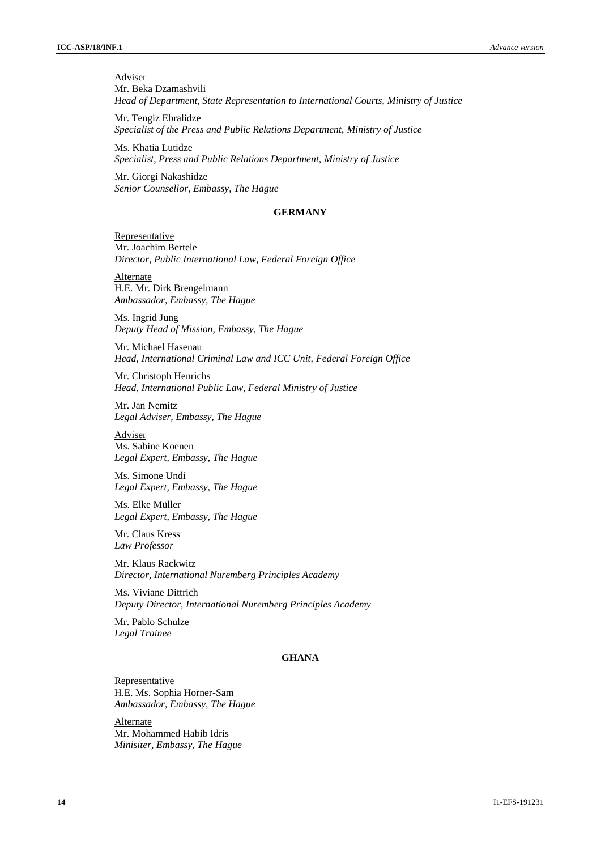Adviser Mr. Beka Dzamashvili *Head of Department, State Representation to International Courts, Ministry of Justice*

Mr. Tengiz Ebralidze *Specialist of the Press and Public Relations Department, Ministry of Justice*

Ms. Khatia Lutidze *Specialist, Press and Public Relations Department, Ministry of Justice*

Mr. Giorgi Nakashidze *Senior Counsellor, Embassy, The Hague*

#### **GERMANY**

**Representative** Mr. Joachim Bertele *Director, Public International Law, Federal Foreign Office*

**Alternate** H.E. Mr. Dirk Brengelmann *Ambassador, Embassy, The Hague*

Ms. Ingrid Jung *Deputy Head of Mission, Embassy, The Hague*

Mr. Michael Hasenau *Head, International Criminal Law and ICC Unit, Federal Foreign Office*

Mr. Christoph Henrichs *Head, International Public Law, Federal Ministry of Justice*

Mr. Jan Nemitz *Legal Adviser, Embassy, The Hague*

Adviser Ms. Sabine Koenen *Legal Expert, Embassy, The Hague*

Ms. Simone Undi *Legal Expert, Embassy, The Hague*

Ms. Elke Müller *Legal Expert, Embassy, The Hague*

Mr. Claus Kress *Law Professor*

Mr. Klaus Rackwitz *Director, International Nuremberg Principles Academy*

Ms. Viviane Dittrich *Deputy Director, International Nuremberg Principles Academy* 

Mr. Pablo Schulze *Legal Trainee*

# **GHANA**

Representative H.E. Ms. Sophia Horner-Sam *Ambassador, Embassy, The Hague*

Alternate Mr. Mohammed Habib Idris *Minisiter, Embassy, The Hague*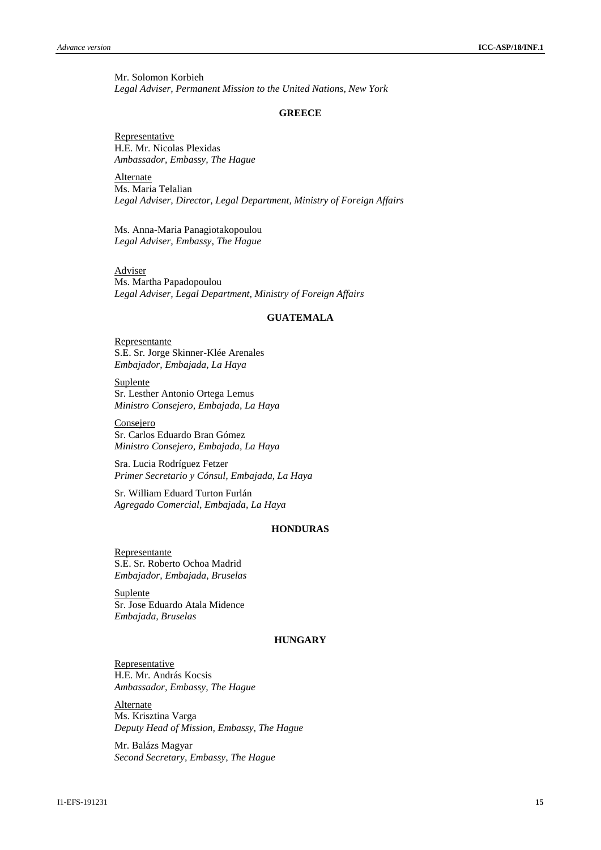Mr. Solomon Korbieh *Legal Adviser, Permanent Mission to the United Nations, New York*

#### **GREECE**

Representative H.E. Mr. Nicolas Plexidas *Ambassador, Embassy, The Hague*

Alternate Ms. Maria Telalian *Legal Adviser, Director, Legal Department, Ministry of Foreign Affairs*

Ms. Anna-Maria Panagiotakopoulou *Legal Adviser, Embassy, The Hague*

**Adviser** Ms. Martha Papadopoulou *Legal Adviser, Legal Department, Ministry of Foreign Affairs*

# **GUATEMALA**

Representante S.E. Sr. Jorge Skinner-Klée Arenales *Embajador, Embajada, La Haya* 

Suplente Sr. Lesther Antonio Ortega Lemus *Ministro Consejero, Embajada, La Haya*

Consejero Sr. Carlos Eduardo Bran Gómez *Ministro Consejero, Embajada, La Haya*

Sra. Lucia Rodríguez Fetzer *Primer Secretario y Cónsul, Embajada, La Haya*

Sr. William Eduard Turton Furlán *Agregado Comercial, Embajada, La Haya*

# **HONDURAS**

Representante S.E. Sr. Roberto Ochoa Madrid *Embajador, Embajada, Bruselas*

Suplente Sr. Jose Eduardo Atala Midence *Embajada, Bruselas*

#### **HUNGARY**

**Representative** H.E. Mr. András Kocsis *Ambassador, Embassy, The Hague*

Alternate Ms. Krisztina Varga *Deputy Head of Mission, Embassy, The Hague*

Mr. Balázs Magyar *Second Secretary, Embassy, The Hague*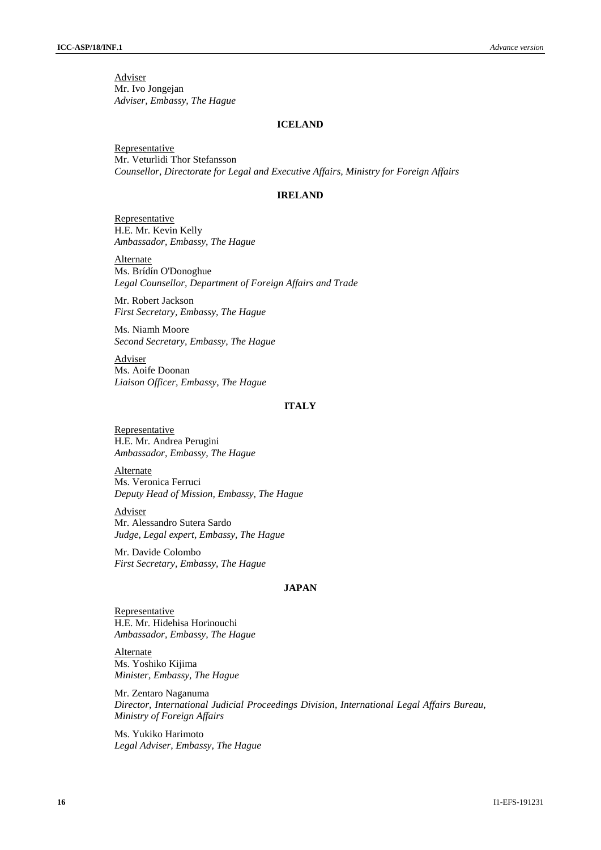Adviser Mr. Ivo Jongejan *Adviser, Embassy, The Hague*

#### **ICELAND**

**Representative** Mr. Veturlidi Thor Stefansson *Counsellor, Directorate for Legal and Executive Affairs, Ministry for Foreign Affairs*

# **IRELAND**

Representative H.E. Mr. Kevin Kelly *Ambassador, Embassy, The Hague*

**Alternate** Ms. Brídín O'Donoghue *Legal Counsellor, Department of Foreign Affairs and Trade*

Mr. Robert Jackson *First Secretary, Embassy, The Hague*

Ms. Niamh Moore *Second Secretary, Embassy, The Hague*

Adviser Ms. Aoife Doonan *Liaison Officer, Embassy, The Hague*

# **ITALY**

**Representative** H.E. Mr. Andrea Perugini *Ambassador, Embassy, The Hague*

Alternate Ms. Veronica Ferruci *Deputy Head of Mission, Embassy, The Hague*

Adviser Mr. Alessandro Sutera Sardo *Judge, Legal expert, Embassy, The Hague* 

Mr. Davide Colombo *First Secretary, Embassy, The Hague* 

# **JAPAN**

Representative H.E. Mr. Hidehisa Horinouchi *Ambassador, Embassy, The Hague*

**Alternate** Ms. Yoshiko Kijima *Minister, Embassy, The Hague*

Mr. Zentaro Naganuma *Director, International Judicial Proceedings Division, International Legal Affairs Bureau, Ministry of Foreign Affairs*

Ms. Yukiko Harimoto *Legal Adviser, Embassy, The Hague*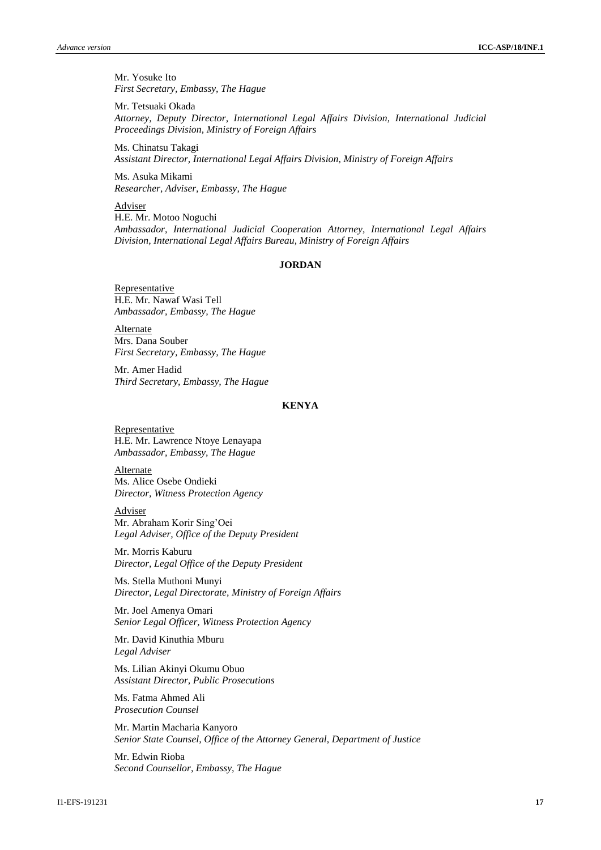Mr. Yosuke Ito *First Secretary, Embassy, The Hague*

Mr. Tetsuaki Okada *Attorney, Deputy Director, International Legal Affairs Division, International Judicial Proceedings Division, Ministry of Foreign Affairs*

Ms. Chinatsu Takagi *Assistant Director, International Legal Affairs Division, Ministry of Foreign Affairs*

Ms. Asuka Mikami *Researcher, Adviser, Embassy, The Hague*

Adviser H.E. Mr. Motoo Noguchi *Ambassador, International Judicial Cooperation Attorney, International Legal Affairs Division, International Legal Affairs Bureau, Ministry of Foreign Affairs*

# **JORDAN**

**Representative** H.E. Mr. Nawaf Wasi Tell *Ambassador, Embassy, The Hague*

Alternate Mrs. Dana Souber *First Secretary, Embassy, The Hague*

Mr. Amer Hadid *Third Secretary, Embassy, The Hague*

#### **KENYA**

**Representative** H.E. Mr. Lawrence Ntoye Lenayapa *Ambassador, Embassy, The Hague*

**Alternate** Ms. Alice Osebe Ondieki *Director, Witness Protection Agency*

Adviser Mr. Abraham Korir Sing'Oei *Legal Adviser, Office of the Deputy President*

Mr. Morris Kaburu *Director, Legal Office of the Deputy President*

Ms. Stella Muthoni Munyi *Director, Legal Directorate, Ministry of Foreign Affairs*

Mr. Joel Amenya Omari *Senior Legal Officer, Witness Protection Agency*

Mr. David Kinuthia Mburu *Legal Adviser*

Ms. Lilian Akinyi Okumu Obuo *Assistant Director, Public Prosecutions*

Ms. Fatma Ahmed Ali *Prosecution Counsel*

Mr. Martin Macharia Kanyoro *Senior State Counsel, Office of the Attorney General, Department of Justice*

Mr. Edwin Rioba *Second Counsellor, Embassy, The Hague*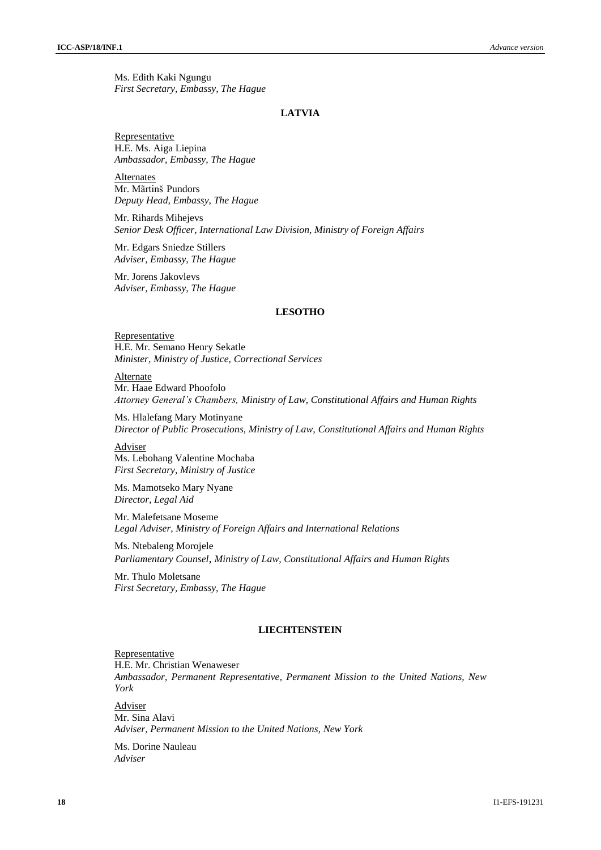Ms. Edith Kaki Ngungu *First Secretary, Embassy, The Hague*

#### **LATVIA**

Representative H.E. Ms. Aiga Liepina *Ambassador, Embassy, The Hague*

Alternates Mr. Mãrtinš Pundors *Deputy Head, Embassy, The Hague*

Mr. Rihards Mihejevs *Senior Desk Officer, International Law Division, Ministry of Foreign Affairs*

Mr. Edgars Sniedze Stillers *Adviser, Embassy, The Hague*

Mr. Jorens Jakovlevs *Adviser, Embassy, The Hague*

#### **LESOTHO**

**Representative** H.E. Mr. Semano Henry Sekatle *Minister, Ministry of Justice, Correctional Services*

Alternate Mr. Haae Edward Phoofolo *Attorney General's Chambers, Ministry of Law, Constitutional Affairs and Human Rights* 

Ms. Hlalefang Mary Motinyane *Director of Public Prosecutions, Ministry of Law, Constitutional Affairs and Human Rights*

Adviser Ms. Lebohang Valentine Mochaba *First Secretary, Ministry of Justice*

Ms. Mamotseko Mary Nyane *Director, Legal Aid*

Mr. Malefetsane Moseme *Legal Adviser, Ministry of Foreign Affairs and International Relations*

Ms. Ntebaleng Morojele *Parliamentary Counsel*, *Ministry of Law, Constitutional Affairs and Human Rights*

Mr. Thulo Moletsane *First Secretary, Embassy, The Hague*

# **LIECHTENSTEIN**

**Representative** H.E. Mr. Christian Wenaweser *Ambassador, Permanent Representative, Permanent Mission to the United Nations, New York*

Adviser Mr. Sina Alavi *Adviser, Permanent Mission to the United Nations, New York*

Ms. Dorine Nauleau *Adviser*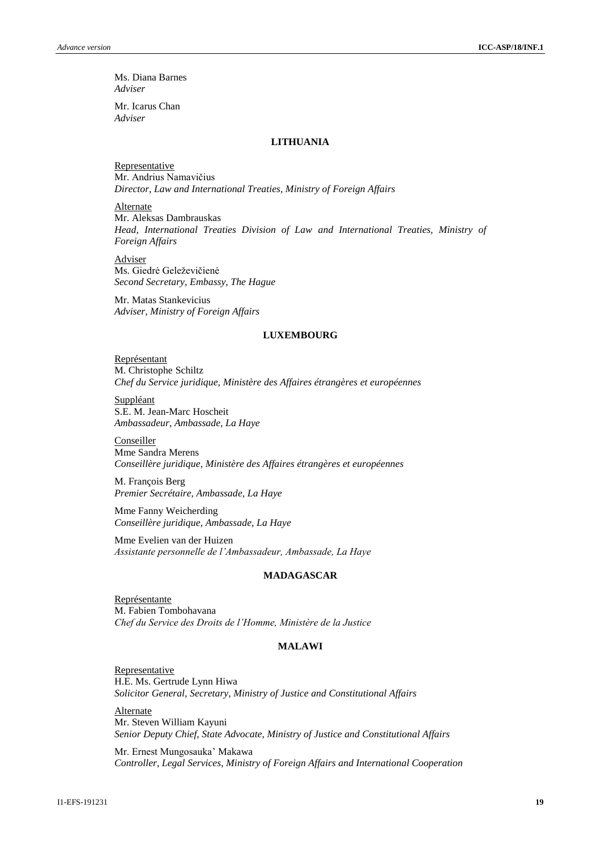Ms. Diana Barnes *Adviser*

Mr. Icarus Chan *Adviser*

#### **LITHUANIA**

**Representative** Mr. Andrius Namavičius *Director, Law and International Treaties, Ministry of Foreign Affairs*

Alternate Mr. Aleksas Dambrauskas *Head, International Treaties Division of Law and International Treaties, Ministry of Foreign Affairs*

Adviser Ms. Giedrė Geleževičienė *Second Secretary, Embassy, The Hague*

Mr. Matas Stankevicius *Adviser, Ministry of Foreign Affairs*

# **LUXEMBOURG**

Représentant M. Christophe Schiltz *Chef du Service juridique, Ministère des Affaires étrangères et européennes*

Suppléant S.E. M. Jean-Marc Hoscheit *Ambassadeur, Ambassade, La Haye*

Conseiller Mme Sandra Merens *Conseillère juridique, Ministère des Affaires étrangères et européennes*

M. François Berg *Premier Secrétaire, Ambassade, La Haye*

Mme Fanny Weicherding *Conseillère juridique, Ambassade, La Haye*

Mme Evelien van der Huizen *Assistante personnelle de l'Ambassadeur, Ambassade, La Haye*

#### **MADAGASCAR**

Représentante M. Fabien Tombohavana *Chef du Service des Droits de l'Homme, Ministère de la Justice*

# **MALAWI**

**Representative** H.E. Ms. Gertrude Lynn Hiwa *Solicitor General, Secretary, Ministry of Justice and Constitutional Affairs*

**Alternate** Mr. Steven William Kayuni *Senior Deputy Chief, State Advocate, Ministry of Justice and Constitutional Affairs*

Mr. Ernest Mungosauka' Makawa *Controller, Legal Services, Ministry of Foreign Affairs and International Cooperation*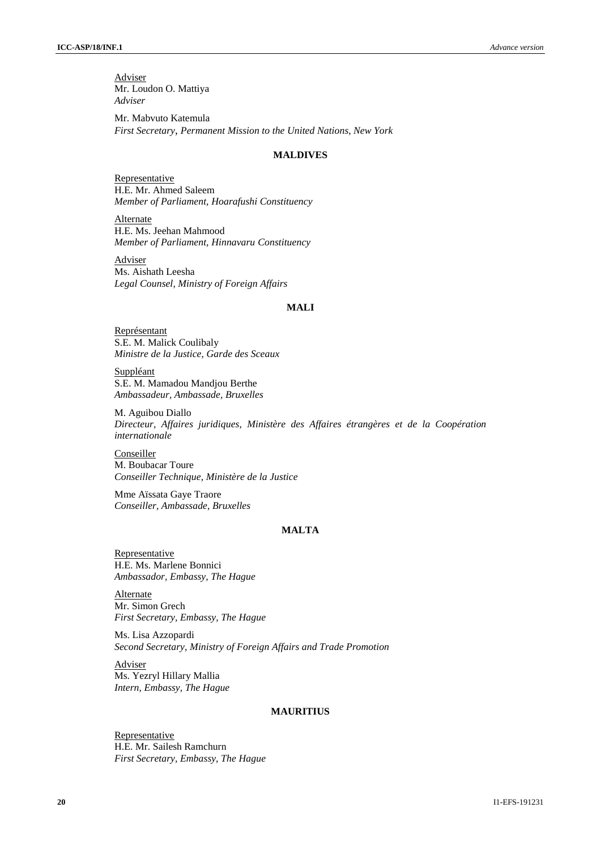Adviser Mr. Loudon O. Mattiya *Adviser*

Mr. Mabvuto Katemula *First Secretary*, *Permanent Mission to the United Nations, New York*

#### **MALDIVES**

Representative H.E. Mr. Ahmed Saleem *Member of Parliament, Hoarafushi Constituency*

Alternate H.E. Ms. Jeehan Mahmood *Member of Parliament, Hinnavaru Constituency*

Adviser Ms. Aishath Leesha *Legal Counsel, Ministry of Foreign Affairs*

#### **MALI**

Représentant S.E. M. Malick Coulibaly *Ministre de la Justice, Garde des Sceaux*

Suppléant S.E. M. Mamadou Mandjou Berthe *Ambassadeur, Ambassade, Bruxelles*

M. Aguibou Diallo *Directeur, Affaires juridiques, Ministère des Affaires étrangères et de la Coopération internationale*

Conseiller M. Boubacar Toure *Conseiller Technique, Ministère de la Justice*

Mme Aïssata Gaye Traore *Conseiller, Ambassade, Bruxelles*

# **MALTA**

**Representative** H.E. Ms. Marlene Bonnici *Ambassador, Embassy, The Hague*

Alternate Mr. Simon Grech *First Secretary, Embassy, The Hague*

Ms. Lisa Azzopardi *Second Secretary, Ministry of Foreign Affairs and Trade Promotion*

Adviser Ms. Yezryl Hillary Mallia *Intern, Embassy, The Hague*

#### **MAURITIUS**

**Representative** H.E. Mr. Sailesh Ramchurn *First Secretary, Embassy, The Hague*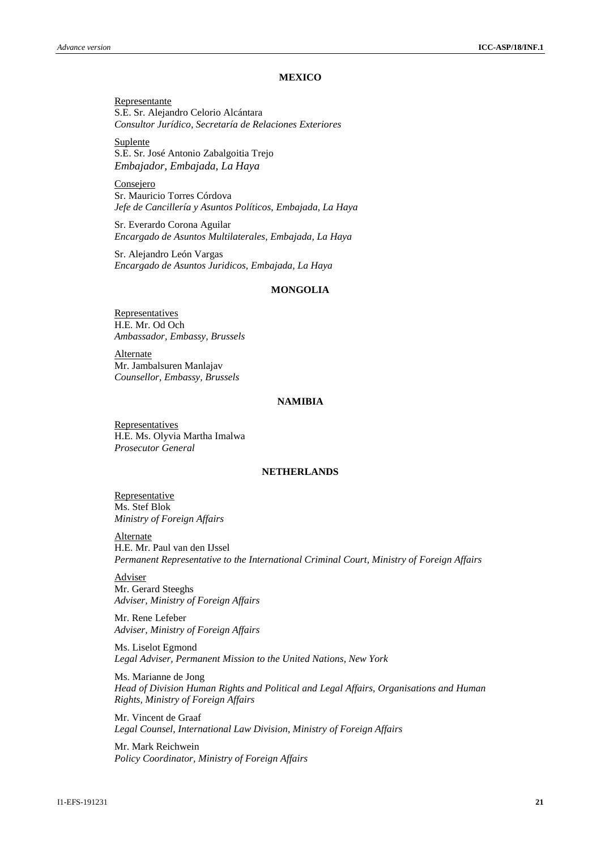# **MEXICO**

Representante S.E. Sr. Alejandro Celorio Alcántara *Consultor Jurídico, Secretaría de Relaciones Exteriores*

Suplente S.E. Sr. José Antonio Zabalgoitia Trejo *Embajador, Embajada, La Haya*

Consejero Sr. Mauricio Torres Córdova *Jefe de Cancillería y Asuntos Políticos, Embajada, La Haya*

Sr. Everardo Corona Aguilar *Encargado de Asuntos Multilaterales, Embajada, La Haya*

Sr. Alejandro León Vargas *Encargado de Asuntos Juridicos, Embajada, La Haya*

#### **MONGOLIA**

**Representatives** H.E. Mr. Od Och *Ambassador, Embassy, Brussels*

**Alternate** Mr. Jambalsuren Manlajav *Counsellor, Embassy, Brussels*

#### **NAMIBIA**

**Representatives** H.E. Ms. Olyvia Martha Imalwa *Prosecutor General*

# **NETHERLANDS**

Representative Ms. Stef Blok *Ministry of Foreign Affairs*

Alternate H.E. Mr. Paul van den IJssel *Permanent Representative to the International Criminal Court, Ministry of Foreign Affairs*

**Adviser** Mr. Gerard Steeghs *Adviser, Ministry of Foreign Affairs*

Mr. Rene Lefeber *Adviser, Ministry of Foreign Affairs*

Ms. Liselot Egmond *Legal Adviser, Permanent Mission to the United Nations, New York*

Ms. Marianne de Jong *Head of Division Human Rights and Political and Legal Affairs, Organisations and Human Rights, Ministry of Foreign Affairs*

Mr. Vincent de Graaf *Legal Counsel, International Law Division, Ministry of Foreign Affairs*

Mr. Mark Reichwein *Policy Coordinator, Ministry of Foreign Affairs*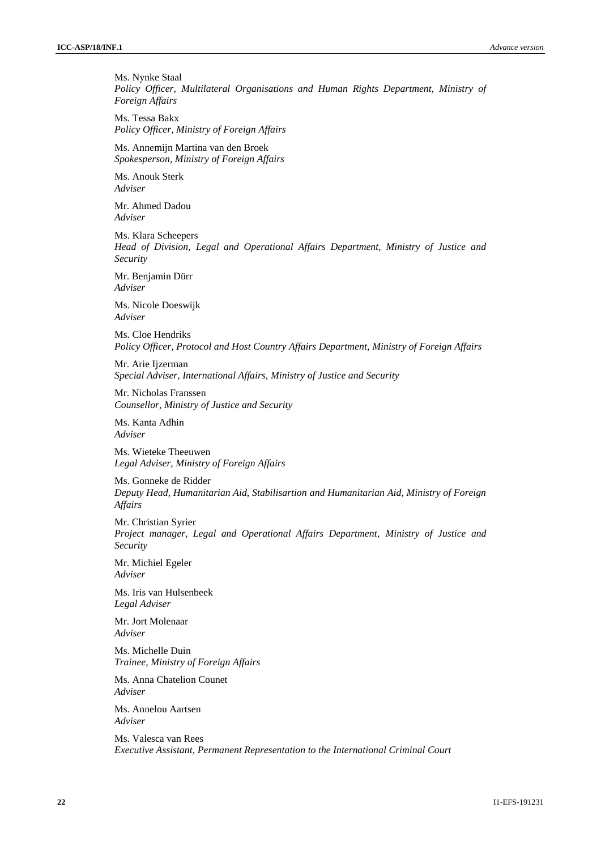Ms. Nynke Staal *Policy Officer, Multilateral Organisations and Human Rights Department, Ministry of Foreign Affairs* 

Ms. Tessa Bakx *Policy Officer, Ministry of Foreign Affairs*

Ms. Annemijn Martina van den Broek *Spokesperson, Ministry of Foreign Affairs*

Ms. Anouk Sterk *Adviser*

Mr. Ahmed Dadou *Adviser*

Ms. Klara Scheepers *Head of Division, Legal and Operational Affairs Department, Ministry of Justice and Security*

Mr. Benjamin Dürr *Adviser*

Ms. Nicole Doeswijk *Adviser*

Ms. Cloe Hendriks *Policy Officer, Protocol and Host Country Affairs Department, Ministry of Foreign Affairs*

Mr. Arie Ijzerman *Special Adviser, International Affairs, Ministry of Justice and Security*

Mr. Nicholas Franssen *Counsellor, Ministry of Justice and Security*

Ms. Kanta Adhin *Adviser*

Ms. Wieteke Theeuwen *Legal Adviser, Ministry of Foreign Affairs*

Ms. Gonneke de Ridder *Deputy Head, Humanitarian Aid, Stabilisartion and Humanitarian Aid, Ministry of Foreign Affairs*

Mr. Christian Syrier *Project manager, Legal and Operational Affairs Department, Ministry of Justice and Security*

Mr. Michiel Egeler *Adviser*

Ms. Iris van Hulsenbeek *Legal Adviser*

Mr. Jort Molenaar *Adviser*

Ms. Michelle Duin *Trainee, Ministry of Foreign Affairs*

Ms. Anna Chatelion Counet *Adviser*

Ms. Annelou Aartsen *Adviser*

Ms. Valesca van Rees *Executive Assistant, Permanent Representation to the International Criminal Court*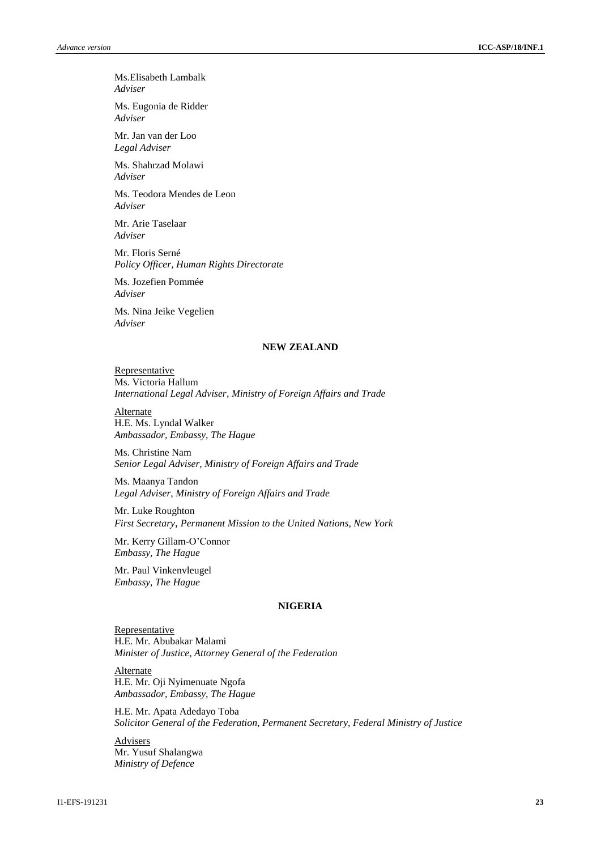Ms.Elisabeth Lambalk *Adviser*

Ms. Eugonia de Ridder *Adviser*

Mr. Jan van der Loo *Legal Adviser*

Ms. Shahrzad Molawi *Adviser*

Ms. Teodora Mendes de Leon *Adviser*

Mr. Arie Taselaar *Adviser*

Mr. Floris Serné *Policy Officer, Human Rights Directorate*

Ms. Jozefien Pommée *Adviser*

Ms. Nina Jeike Vegelien *Adviser*

# **NEW ZEALAND**

Representative Ms. Victoria Hallum *International Legal Adviser, Ministry of Foreign Affairs and Trade*

**Alternate** H.E. Ms. Lyndal Walker *Ambassador, Embassy, The Hague*

Ms. Christine Nam *Senior Legal Adviser, Ministry of Foreign Affairs and Trade*

Ms. Maanya Tandon *Legal Adviser, Ministry of Foreign Affairs and Trade*

Mr. Luke Roughton *First Secretary*, *Permanent Mission to the United Nations, New York*

Mr. Kerry Gillam-O'Connor *Embassy, The Hague*

Mr. Paul Vinkenvleugel *Embassy, The Hague*

# **NIGERIA**

Representative H.E. Mr. Abubakar Malami *Minister of Justice, Attorney General of the Federation*

Alternate H.E. Mr. Oji Nyimenuate Ngofa *Ambassador, Embassy, The Hague*

H.E. Mr. Apata Adedayo Toba *Solicitor General of the Federation, Permanent Secretary, Federal Ministry of Justice*

Advisers Mr. Yusuf Shalangwa *Ministry of Defence*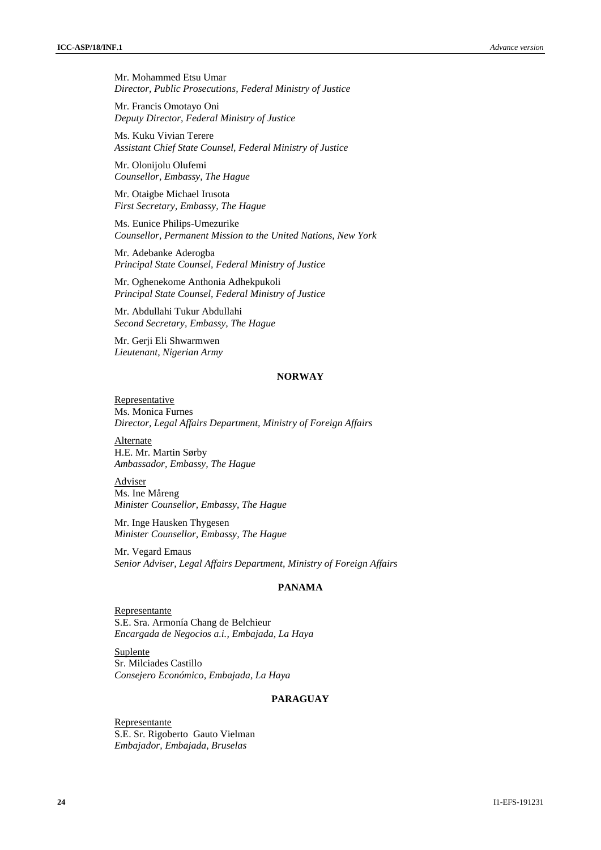Mr. Mohammed Etsu Umar *Director, Public Prosecutions, Federal Ministry of Justice*

Mr. Francis Omotayo Oni *Deputy Director, Federal Ministry of Justice*

Ms. Kuku Vivian Terere *Assistant Chief State Counsel, Federal Ministry of Justice*

Mr. Olonijolu Olufemi *Counsellor, Embassy, The Hague*

Mr. Otaigbe Michael Irusota *First Secretary, Embassy, The Hague*

Ms. Eunice Philips-Umezurike *Counsellor, Permanent Mission to the United Nations, New York*

Mr. Adebanke Aderogba *Principal State Counsel, Federal Ministry of Justice*

Mr. Oghenekome Anthonia Adhekpukoli *Principal State Counsel, Federal Ministry of Justice*

Mr. Abdullahi Tukur Abdullahi *Second Secretary, Embassy, The Hague*

Mr. Gerji Eli Shwarmwen *Lieutenant, Nigerian Army*

#### **NORWAY**

Representative Ms. Monica Furnes *Director, Legal Affairs Department, Ministry of Foreign Affairs*

Alternate H.E. Mr. Martin Sørby *Ambassador, Embassy, The Hague*

**Adviser** Ms. Ine Måreng *Minister Counsellor, Embassy, The Hague*

Mr. Inge Hausken Thygesen *Minister Counsellor, Embassy, The Hague*

Mr. Vegard Emaus *Senior Adviser, Legal Affairs Department, Ministry of Foreign Affairs*

# **PANAMA**

Representante S.E. Sra. Armonía Chang de Belchieur *Encargada de Negocios a.i., Embajada, La Haya*

Suplente Sr. Milciades Castillo *Consejero Económico, Embajada, La Haya*

# **PARAGUAY**

Representante S.E. Sr. Rigoberto Gauto Vielman *Embajador, Embajada, Bruselas*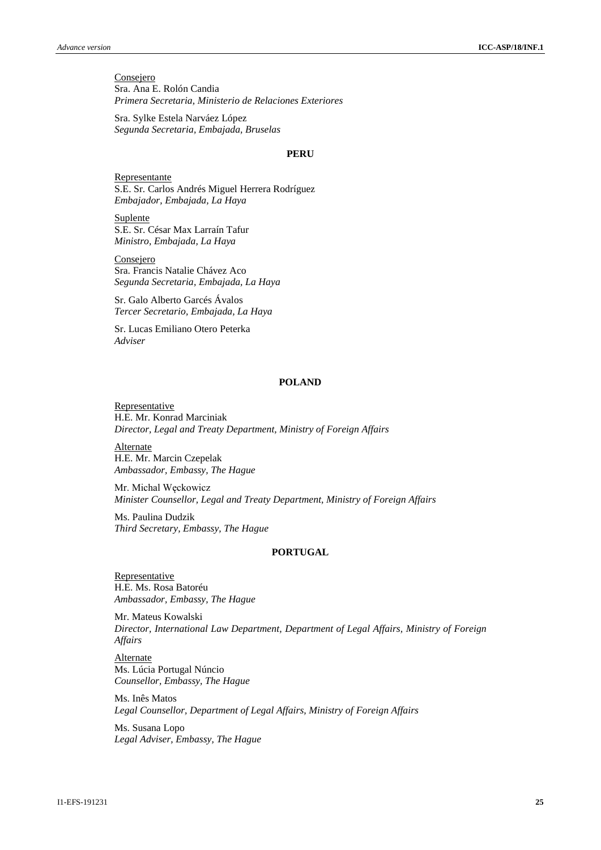**Consejero** Sra. Ana E. Rolón Candia *Primera Secretaria, Ministerio de Relaciones Exteriores*

Sra. Sylke Estela Narváez López *Segunda Secretaria, Embajada, Bruselas*

#### **PERU**

Representante S.E. Sr. Carlos Andrés Miguel Herrera Rodríguez *Embajador, Embajada, La Haya*

Suplente S.E. Sr. César Max Larraín Tafur *Ministro, Embajada, La Haya*

**Consejero** Sra. Francis Natalie Chávez Aco *Segunda Secretaria, Embajada, La Haya*

Sr. Galo Alberto Garcés Ávalos *Tercer Secretario, Embajada, La Haya*

Sr. Lucas Emiliano Otero Peterka *Adviser*

# **POLAND**

**Representative** H.E. Mr. Konrad Marciniak *Director, Legal and Treaty Department, Ministry of Foreign Affairs*

**Alternate** H.E. Mr. Marcin Czepelak *Ambassador, Embassy, The Hague*

Mr. Michal Węckowicz *Minister Counsellor, Legal and Treaty Department, Ministry of Foreign Affairs*

Ms. Paulina Dudzik *Third Secretary, Embassy, The Hague*

#### **PORTUGAL**

**Representative** H.E. Ms. Rosa Batoréu *Ambassador, Embassy, The Hague*

Mr. Mateus Kowalski *Director, International Law Department, Department of Legal Affairs, Ministry of Foreign Affairs*

**Alternate** Ms. Lúcia Portugal Núncio *Counsellor, Embassy, The Hague*

Ms. Inês Matos *Legal Counsellor, Department of Legal Affairs, Ministry of Foreign Affairs*

Ms. Susana Lopo *Legal Adviser, Embassy, The Hague*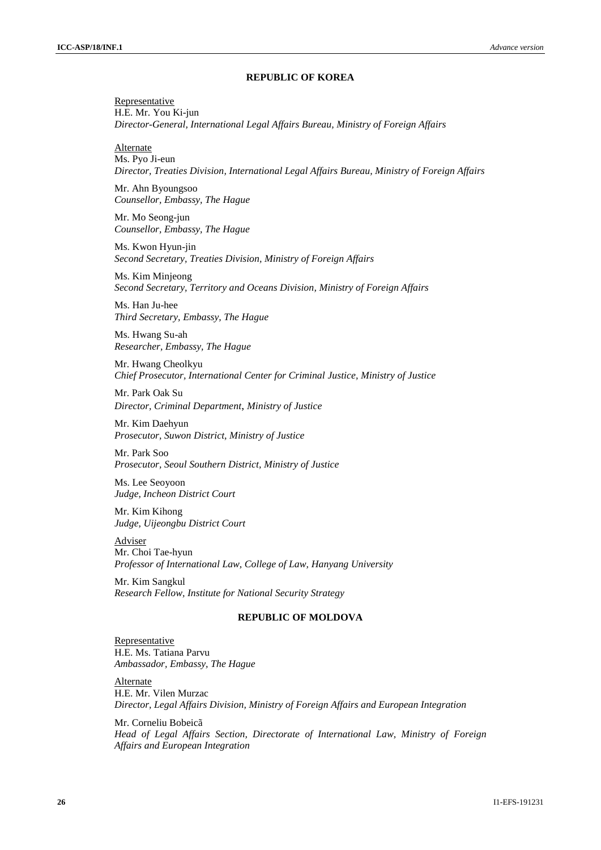#### **REPUBLIC OF KOREA**

**Representative** H.E. Mr. You Ki-jun *Director-General, International Legal Affairs Bureau, Ministry of Foreign Affairs*

Alternate

Ms. Pyo Ji-eun *Director, Treaties Division, International Legal Affairs Bureau, Ministry of Foreign Affairs*

Mr. Ahn Byoungsoo *Counsellor, Embassy, The Hague*

Mr. Mo Seong-jun *Counsellor, Embassy, The Hague*

Ms. Kwon Hyun-jin *Second Secretary, Treaties Division, Ministry of Foreign Affairs*

Ms. Kim Minjeong *Second Secretary, Territory and Oceans Division, Ministry of Foreign Affairs*

Ms. Han Ju-hee *Third Secretary, Embassy, The Hague*

Ms. Hwang Su-ah *Researcher, Embassy, The Hague*

Mr. Hwang Cheolkyu *Chief Prosecutor, International Center for Criminal Justice, Ministry of Justice*

Mr. Park Oak Su *Director, Criminal Department*, *Ministry of Justice*

Mr. Kim Daehyun *Prosecutor, Suwon District, Ministry of Justice*

Mr. Park Soo *Prosecutor, Seoul Southern District, Ministry of Justice*

Ms. Lee Seoyoon *Judge, Incheon District Court*

Mr. Kim Kihong *Judge, Uijeongbu District Court*

Adviser Mr. Choi Tae-hyun *Professor of International Law, College of Law, Hanyang University*

Mr. Kim Sangkul *Research Fellow, Institute for National Security Strategy*

# **REPUBLIC OF MOLDOVA**

Representative H.E. Ms. Tatiana Parvu *Ambassador, Embassy, The Hague*

Alternate H.E. Mr. Vilen Murzac *Director, Legal Affairs Division, Ministry of Foreign Affairs and European Integration*

Mr. Corneliu Bobeicã *Head of Legal Affairs Section, Directorate of International Law, Ministry of Foreign Affairs and European Integration*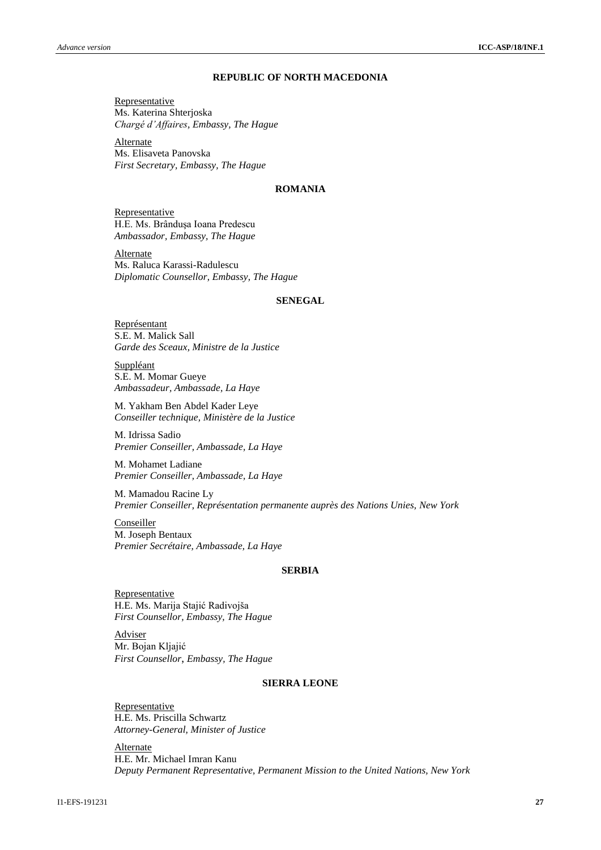# **REPUBLIC OF NORTH MACEDONIA**

**Representative** Ms. Katerina Shterjoska *Chargé d'Affaires, Embassy, The Hague*

**Alternate** Ms. Elisaveta Panovska *First Secretary, Embassy, The Hague*

# **ROMANIA**

Representative H.E. Ms. Brânduşa Ioana Predescu *Ambassador, Embassy, The Hague*

**Alternate** Ms. Raluca Karassi-Radulescu *Diplomatic Counsellor, Embassy, The Hague*

# **SENEGAL**

Représentant S.E. M. Malick Sall *Garde des Sceaux, Ministre de la Justice*

Suppléant S.E. M. Momar Gueye *Ambassadeur, Ambassade, La Haye*

M. Yakham Ben Abdel Kader Leye *Conseiller technique, Ministère de la Justice* 

M. Idrissa Sadio *Premier Conseiller, Ambassade, La Haye*

M. Mohamet Ladiane *Premier Conseiller, Ambassade, La Haye*

M. Mamadou Racine Ly *Premier Conseiller, Représentation permanente auprès des Nations Unies, New York*

**Conseiller** M. Joseph Bentaux *Premier Secrétaire, Ambassade, La Haye*

# **SERBIA**

**Representative** H.E. Ms. Marija Stajić Radivojša *First Counsellor, Embassy, The Hague*

Adviser Mr. Bojan Kljajić *First Counsellor*, *Embassy, The Hague*

#### **SIERRA LEONE**

**Representative** H.E. Ms. Priscilla Schwartz *Attorney-General, Minister of Justice*

Alternate H.E. Mr. Michael Imran Kanu *Deputy Permanent Representative, Permanent Mission to the United Nations, New York*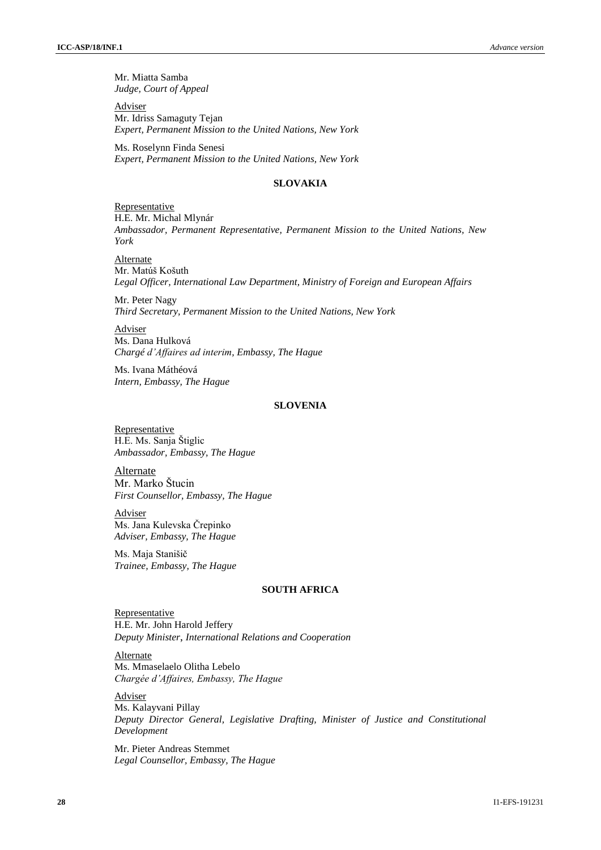Mr. Miatta Samba *Judge, Court of Appeal*

Adviser Mr. Idriss Samaguty Tejan *Expert, Permanent Mission to the United Nations, New York*

Ms. Roselynn Finda Senesi *Expert, Permanent Mission to the United Nations, New York*

# **SLOVAKIA**

Representative H.E. Mr. Michal Mlynár *Ambassador, Permanent Representative, Permanent Mission to the United Nations, New York*

**Alternate** Mr. Matúš Košuth *Legal Officer, International Law Department, Ministry of Foreign and European Affairs*

Mr. Peter Nagy *Third Secretary, Permanent Mission to the United Nations, New York*

Adviser Ms. Dana Hulková *Chargé d'Affaires ad interim, Embassy, The Hague*

Ms. Ivana Máthéová *Intern, Embassy, The Hague*

#### **SLOVENIA**

**Representative** H.E. Ms. Sanja Štiglic *Ambassador, Embassy, The Hague*

Alternate Mr. Marko Štucin *First Counsellor, Embassy, The Hague*

Adviser Ms. Jana Kulevska Črepinko *Adviser, Embassy, The Hague*

Ms. Maja Stanišič *Trainee, Embassy, The Hague*

### **SOUTH AFRICA**

Representative H.E. Mr. John Harold Jeffery *Deputy Minister*, *International Relations and Cooperation*

Alternate Ms. Mmaselaelo Olitha Lebelo *Chargée d'Affaires, Embassy, The Hague*

Adviser Ms. Kalayvani Pillay *Deputy Director General, Legislative Drafting, Minister of Justice and Constitutional Development*

Mr. Pieter Andreas Stemmet *Legal Counsellor, Embassy, The Hague*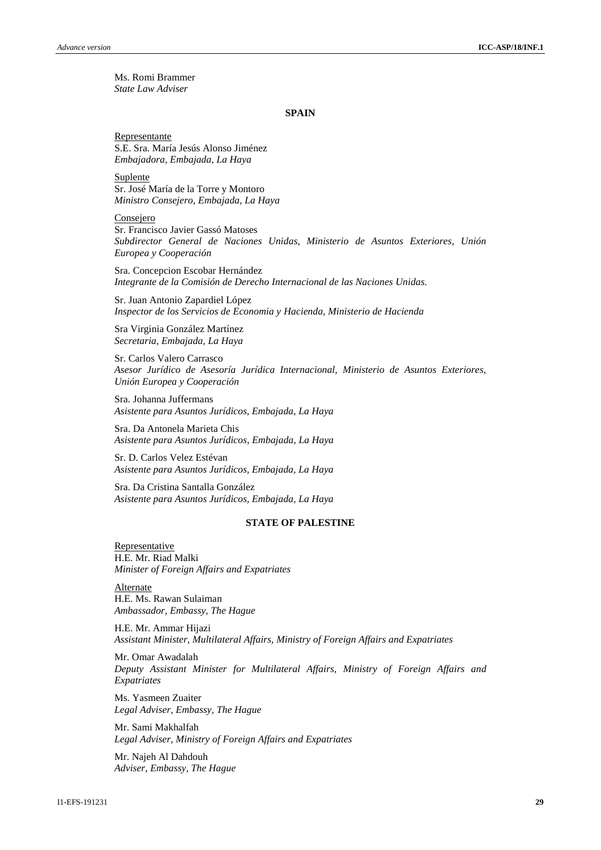Ms. Romi Brammer *State Law Adviser*

#### **SPAIN**

Representante S.E. Sra. María Jesús Alonso Jiménez *Embajadora, Embajada, La Haya*

Suplente Sr. José María de la Torre y Montoro *Ministro Consejero, Embajada, La Haya*

Consejero Sr. Francisco Javier Gassó Matoses *Subdirector General de Naciones Unidas, Ministerio de Asuntos Exteriores, Unión Europea y Cooperación*

Sra. Concepcion Escobar Hernández *Integrante de la Comisión de Derecho Internacional de las Naciones Unidas.*

Sr. Juan Antonio Zapardiel López *Inspector de los Servicios de Economia y Hacienda, Ministerio de Hacienda*

Sra Virginia González Martínez *Secretaria, Embajada, La Haya*

Sr. Carlos Valero Carrasco *Asesor Jurídico de Asesoría Jurídica Internacional, Ministerio de Asuntos Exteriores, Unión Europea y Cooperación*

Sra. Johanna Juffermans *Asistente para Asuntos Jurídicos, Embajada, La Haya*

Sra. Da Antonela Marieta Chis *Asistente para Asuntos Jurídicos, Embajada, La Haya*

Sr. D. Carlos Velez Estévan *Asistente para Asuntos Jurídicos, Embajada, La Haya*

Sra. Da Cristina Santalla González *Asistente para Asuntos Jurídicos, Embajada, La Haya*

# **STATE OF PALESTINE**

Representative H.E. Mr. Riad Malki *Minister of Foreign Affairs and Expatriates*

Alternate H.E. Ms. Rawan Sulaiman *Ambassador, Embassy, The Hague*

H.E. Mr. Ammar Hijazi *Assistant Minister, Multilateral Affairs, Ministry of Foreign Affairs and Expatriates*

Mr. Omar Awadalah *Deputy Assistant Minister for Multilateral Affairs, Ministry of Foreign Affairs and Expatriates*

Ms. Yasmeen Zuaiter *Legal Adviser, Embassy, The Hague*

Mr. Sami Makhalfah *Legal Adviser, Ministry of Foreign Affairs and Expatriates*

Mr. Najeh Al Dahdouh *Adviser, Embassy, The Hague*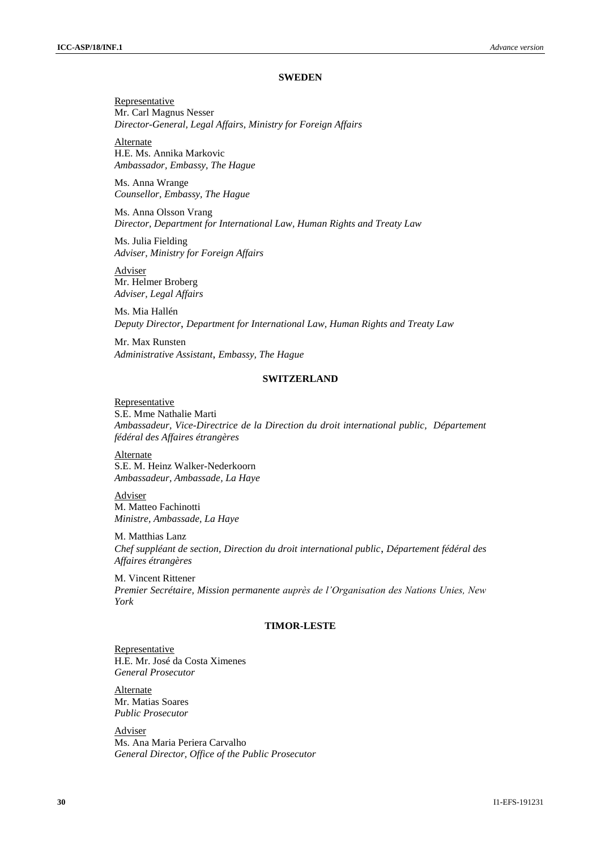#### **SWEDEN**

**Representative** Mr. Carl Magnus Nesser *Director-General, Legal Affairs, Ministry for Foreign Affairs*

**Alternate** H.E. Ms. Annika Markovic *Ambassador, Embassy, The Hague*

Ms. Anna Wrange *Counsellor, Embassy, The Hague*

Ms. Anna Olsson Vrang *Director, Department for International Law, Human Rights and Treaty Law*

Ms. Julia Fielding *Adviser, Ministry for Foreign Affairs*

**Adviser** Mr. Helmer Broberg *Adviser, Legal Affairs*

Ms. Mia Hallén *Deputy Director*, *Department for International Law, Human Rights and Treaty Law*

Mr. Max Runsten *Administrative Assistant*, *Embassy, The Hague*

#### **SWITZERLAND**

Representative S.E. Mme Nathalie Marti *Ambassadeur, Vice-Directrice de la Direction du droit international public, Département fédéral des Affaires étrangères*

Alternate S.E. M. Heinz Walker-Nederkoorn *Ambassadeur, Ambassade, La Haye*

Adviser M. Matteo Fachinotti *Ministre, Ambassade, La Haye*

M. Matthias Lanz *Chef suppléant de section, Direction du droit international public*, *Département fédéral des Affaires étrangères*

M. Vincent Rittener *Premier Secrétaire, Mission permanente auprès de l'Organisation des Nations Unies, New York*

# **TIMOR-LESTE**

Representative H.E. Mr. José da Costa Ximenes *General Prosecutor*

**Alternate** Mr. Matias Soares *Public Prosecutor*

Adviser Ms. Ana Maria Periera Carvalho *General Director, Office of the Public Prosecutor*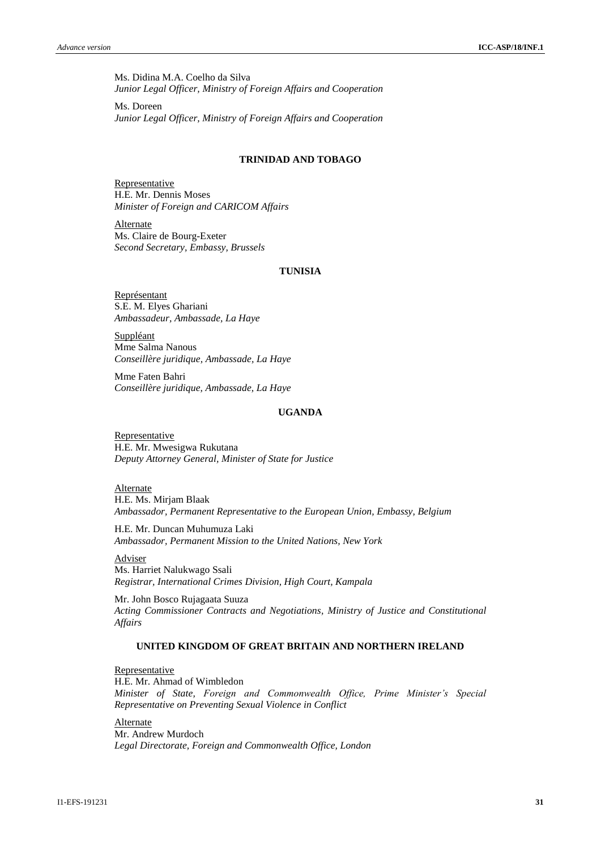Ms. Didina M.A. Coelho da Silva *Junior Legal Officer, Ministry of Foreign Affairs and Cooperation*

Ms. Doreen *Junior Legal Officer, Ministry of Foreign Affairs and Cooperation*

# **TRINIDAD AND TOBAGO**

Representative H.E. Mr. Dennis Moses *Minister of Foreign and CARICOM Affairs*

**Alternate** Ms. Claire de Bourg-Exeter *Second Secretary, Embassy, Brussels*

# **TUNISIA**

Représentant S.E. M. Elyes Ghariani *Ambassadeur, Ambassade, La Haye*

**Suppléant** Mme Salma Nanous *Conseillère juridique, Ambassade, La Haye*

Mme Faten Bahri *Conseillère juridique, Ambassade, La Haye*

# **UGANDA**

Representative H.E. Mr. Mwesigwa Rukutana *Deputy Attorney General, Minister of State for Justice*

**Alternate** 

H.E. Ms. Mirjam Blaak *Ambassador, Permanent Representative to the European Union, Embassy, Belgium*

H.E. Mr. Duncan Muhumuza Laki *Ambassador, Permanent Mission to the United Nations, New York*

Adviser

Ms. Harriet Nalukwago Ssali *Registrar, International Crimes Division, High Court, Kampala*

Mr. John Bosco Rujagaata Suuza *Acting Commissioner Contracts and Negotiations, Ministry of Justice and Constitutional Affairs*

# **UNITED KINGDOM OF GREAT BRITAIN AND NORTHERN IRELAND**

**Representative** 

H.E. Mr. Ahmad of Wimbledon *Minister of State, Foreign and Commonwealth Office, Prime Minister's Special Representative on Preventing Sexual Violence in Conflict*

Alternate Mr. Andrew Murdoch *Legal Directorate, Foreign and Commonwealth Office, London*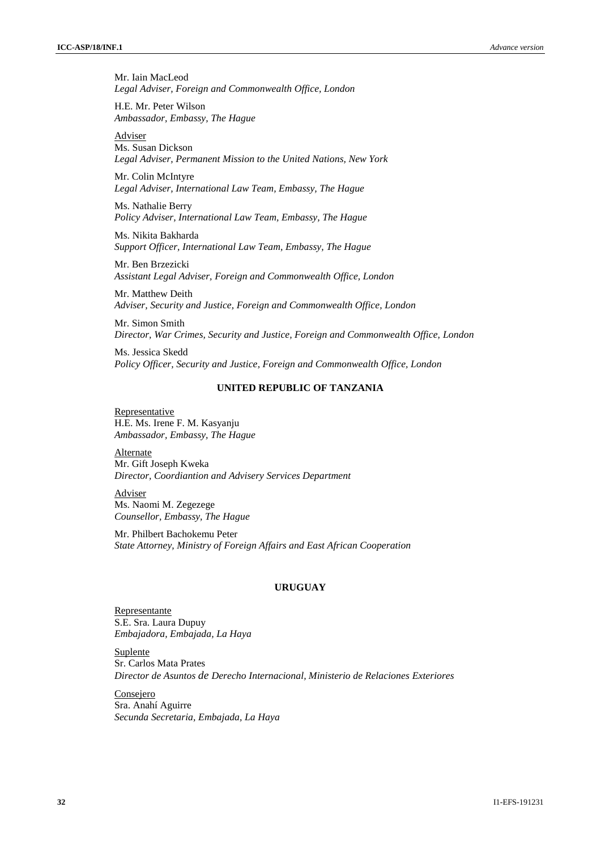Mr. Iain MacLeod *Legal Adviser, Foreign and Commonwealth Office, London*

H.E. Mr. Peter Wilson *Ambassador, Embassy, The Hague*

Adviser Ms. Susan Dickson *Legal Adviser, Permanent Mission to the United Nations, New York*

Mr. Colin McIntyre *Legal Adviser, International Law Team, Embassy, The Hague*

Ms. Nathalie Berry *Policy Adviser, International Law Team, Embassy, The Hague*

Ms. Nikita Bakharda *Support Officer, International Law Team, Embassy, The Hague*

Mr. Ben Brzezicki *Assistant Legal Adviser, Foreign and Commonwealth Office, London*

Mr. Matthew Deith *Adviser, Security and Justice, Foreign and Commonwealth Office, London*

Mr. Simon Smith *Director, War Crimes, Security and Justice, Foreign and Commonwealth Office, London*

Ms. Jessica Skedd *Policy Officer, Security and Justice, Foreign and Commonwealth Office, London*

# **UNITED REPUBLIC OF TANZANIA**

Representative H.E. Ms. Irene F. M. Kasyanju *Ambassador, Embassy, The Hague*

**Alternate** Mr. Gift Joseph Kweka *Director, Coordiantion and Advisery Services Department*

Adviser Ms. Naomi M. Zegezege *Counsellor, Embassy, The Hague*

Mr. Philbert Bachokemu Peter *State Attorney, Ministry of Foreign Affairs and East African Cooperation*

# **URUGUAY**

Representante S.E. Sra. Laura Dupuy *Embajadora, Embajada, La Haya*

Suplente Sr. Carlos Mata Prates *Director de Asuntos de Derecho Internacional, Ministerio de Relaciones Exteriores*

Consejero Sra. Anahí Aguirre *Secunda Secretaria, Embajada, La Haya*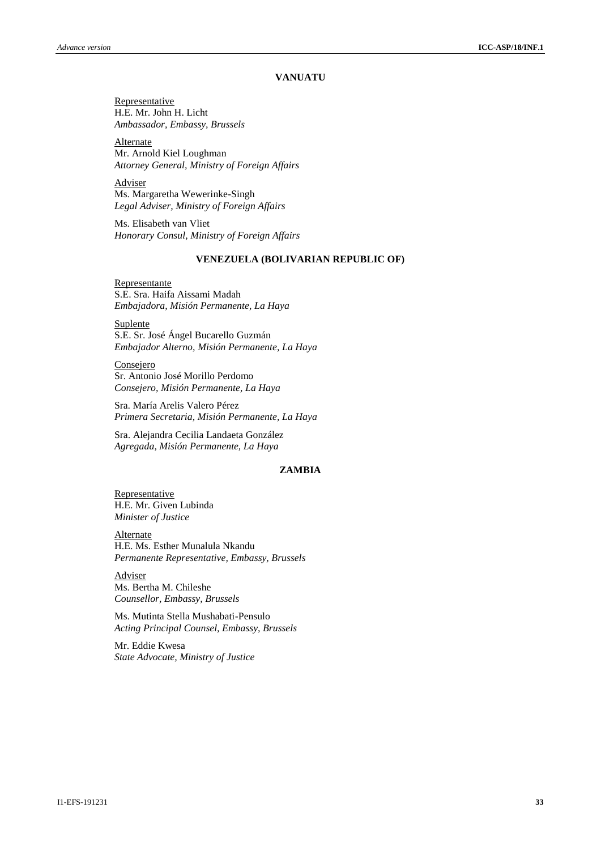#### **VANUATU**

**Representative** H.E. Mr. John H. Licht *Ambassador, Embassy, Brussels*

**Alternate** Mr. Arnold Kiel Loughman *Attorney General, Ministry of Foreign Affairs*

**Adviser** Ms. Margaretha Wewerinke-Singh *Legal Adviser, Ministry of Foreign Affairs*

Ms. Elisabeth van Vliet *Honorary Consul, Ministry of Foreign Affairs*

# **VENEZUELA (BOLIVARIAN REPUBLIC OF)**

Representante S.E. Sra. Haifa Aissami Madah *Embajadora, Misión Permanente, La Haya*

**Suplente** S.E. Sr. José Ángel Bucarello Guzmán *Embajador Alterno, Misión Permanente, La Haya*

Consejero Sr. Antonio José Morillo Perdomo *Consejero, Misión Permanente, La Haya*

Sra. María Arelis Valero Pérez *Primera Secretaria, Misión Permanente, La Haya*

Sra. Alejandra Cecilia Landaeta González *Agregada, Misión Permanente, La Haya*

# **ZAMBIA**

Representative H.E. Mr. Given Lubinda *Minister of Justice*

**Alternate** H.E. Ms. Esther Munalula Nkandu *Permanente Representative, Embassy, Brussels*

Adviser Ms. Bertha M. Chileshe *Counsellor, Embassy, Brussels*

Ms. Mutinta Stella Mushabati-Pensulo *Acting Principal Counsel, Embassy, Brussels*

Mr. Eddie Kwesa *State Advocate, Ministry of Justice*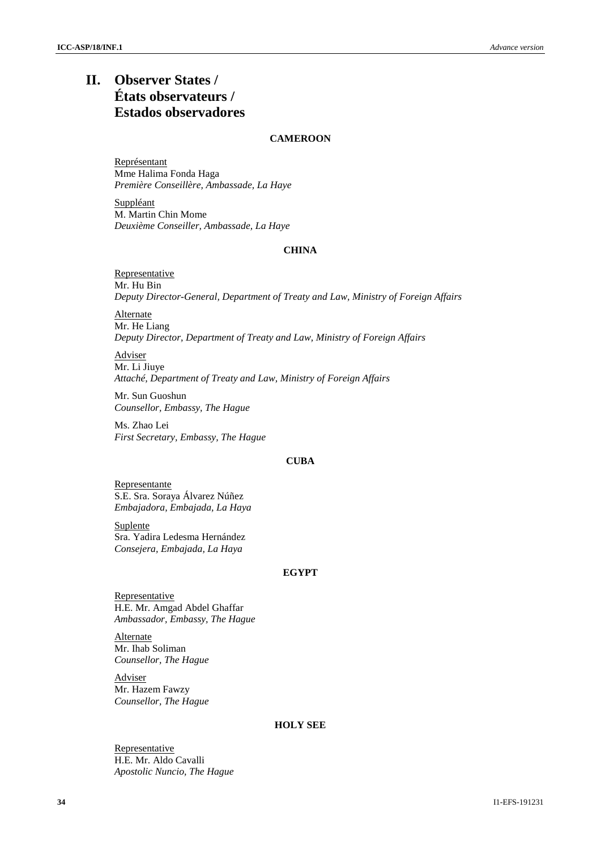# **II. Observer States / États observateurs / Estados observadores**

# **CAMEROON**

Représentant Mme Halima Fonda Haga *Première Conseillère, Ambassade, La Haye*

Suppléant M. Martin Chin Mome *Deuxième Conseiller, Ambassade, La Haye*

# **CHINA**

**Representative** Mr. Hu Bin *Deputy Director-General, Department of Treaty and Law, Ministry of Foreign Affairs*

**Alternate** Mr. He Liang *Deputy Director, Department of Treaty and Law, Ministry of Foreign Affairs*

Adviser Mr. Li Jiuye *Attaché, Department of Treaty and Law, Ministry of Foreign Affairs*

Mr. Sun Guoshun *Counsellor, Embassy, The Hague*

Ms. Zhao Lei *First Secretary, Embassy, The Hague*

# **CUBA**

Representante S.E. Sra. Soraya Álvarez Núñez *Embajadora, Embajada, La Haya*

**Suplente** Sra. Yadira Ledesma Hernández *Consejera, Embajada, La Haya*

#### **EGYPT**

**Representative** H.E. Mr. Amgad Abdel Ghaffar *Ambassador, Embassy, The Hague*

Alternate Mr. Ihab Soliman *Counsellor, The Hague*

Adviser Mr. Hazem Fawzy *Counsellor, The Hague*

# **HOLY SEE**

Representative H.E. Mr. Aldo Cavalli *Apostolic Nuncio, The Hague*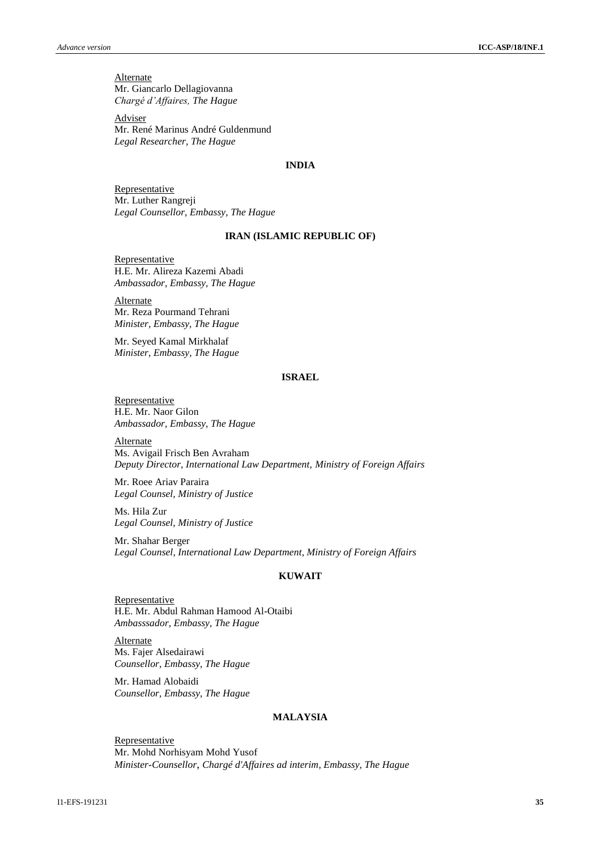**Alternate** Mr. Giancarlo Dellagiovanna *Chargé d'Affaires, The Hague*

Adviser Mr. René Marinus André Guldenmund *Legal Researcher, The Hague*

#### **INDIA**

Representative Mr. Luther Rangreji *Legal Counsellor, Embassy, The Hague*

#### **IRAN (ISLAMIC REPUBLIC OF)**

**Representative** H.E. Mr. Alireza Kazemi Abadi *Ambassador, Embassy, The Hague*

Alternate Mr. Reza Pourmand Tehrani *Minister, Embassy, The Hague*

Mr. Seyed Kamal Mirkhalaf *Minister, Embassy, The Hague*

#### **ISRAEL**

**Representative** H.E. Mr. Naor Gilon *Ambassador, Embassy, The Hague*

**Alternate** Ms. Avigail Frisch Ben Avraham *Deputy Director, International Law Department, Ministry of Foreign Affairs*

Mr. Roee Ariav Paraira *Legal Counsel, Ministry of Justice*

Ms. Hila Zur *Legal Counsel, Ministry of Justice*

Mr. Shahar Berger *Legal Counsel, International Law Department, Ministry of Foreign Affairs*

# **KUWAIT**

**Representative** H.E. Mr. Abdul Rahman Hamood Al-Otaibi *Ambasssador, Embassy, The Hague*

**Alternate** Ms. Fajer Alsedairawi *Counsellor, Embassy, The Hague*

Mr. Hamad Alobaidi *Counsellor, Embassy, The Hague*

# **MALAYSIA**

**Representative** Mr. Mohd Norhisyam Mohd Yusof *Minister-Counsellor*, *Chargé d'Affaires ad interim, Embassy, The Hague*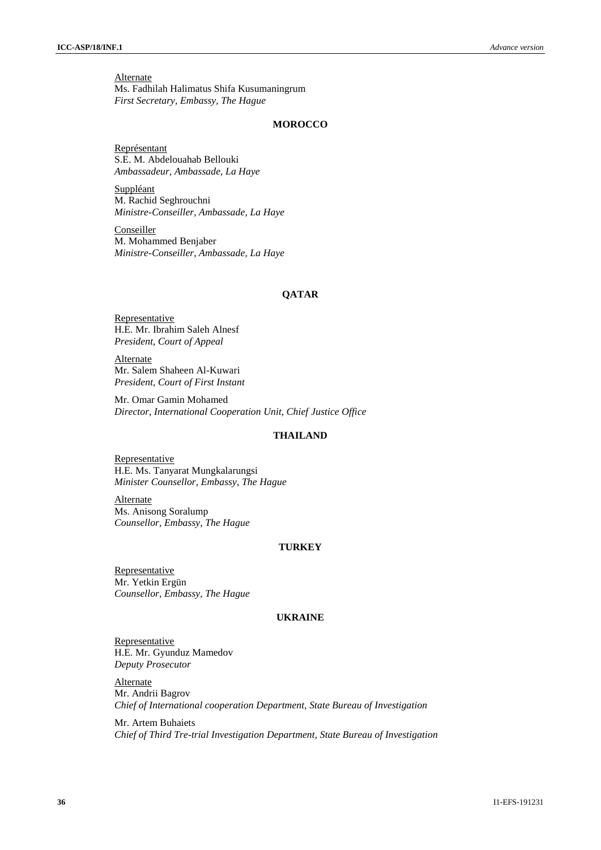**Alternate** Ms. Fadhilah Halimatus Shifa Kusumaningrum *First Secretary, Embassy, The Hague*

#### **MOROCCO**

Représentant S.E. M. Abdelouahab Bellouki *Ambassadeur, Ambassade, La Haye*

Suppléant M. Rachid Seghrouchni *Ministre-Conseiller, Ambassade, La Haye*

Conseiller M. Mohammed Benjaber *Ministre-Conseiller, Ambassade, La Haye*

# **QATAR**

Representative H.E. Mr. Ibrahim Saleh Alnesf *President, Court of Appeal*

**Alternate** Mr. Salem Shaheen Al-Kuwari *President, Court of First Instant*

Mr. Omar Gamin Mohamed *Director, International Cooperation Unit, Chief Justice Office*

# **THAILAND**

**Representative** H.E. Ms. Tanyarat Mungkalarungsi *Minister Counsellor, Embassy, The Hague*

**Alternate** Ms. Anisong Soralump *Counsellor, Embassy, The Hague*

# **TURKEY**

Representative Mr. Yetkin Ergün *Counsellor, Embassy, The Hague*

#### **UKRAINE**

**Representative** H.E. Mr. Gyunduz Mamedov *Deputy Prosecutor*

**Alternate** Mr. Andrii Bagrov *Chief of International cooperation Department, State Bureau of Investigation*

Mr. Artem Buhaiets *Chief of Third Tre-trial Investigation Department, State Bureau of Investigation*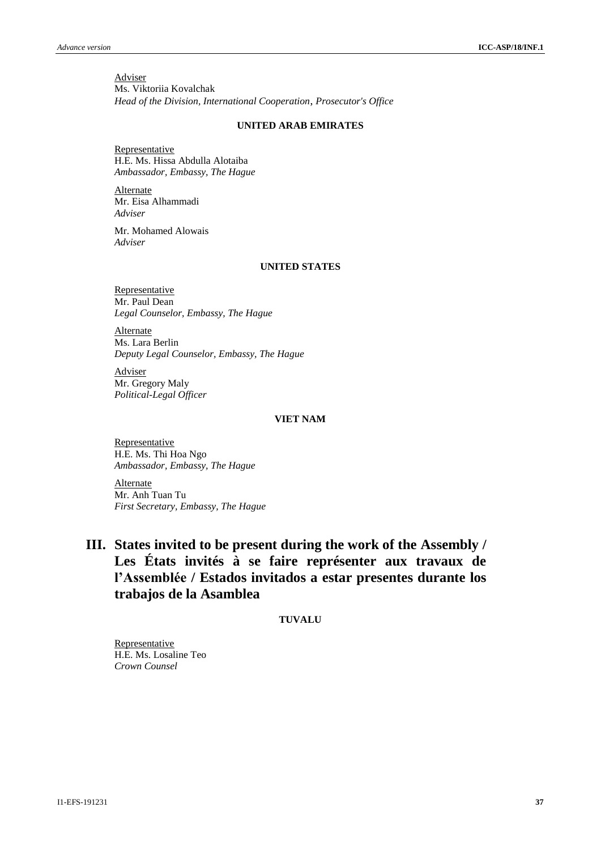Adviser Ms. Viktoriia Kovalchak *Head of the Division, International Cooperation*, *Prosecutor's Office*

### **UNITED ARAB EMIRATES**

**Representative** H.E. Ms. Hissa Abdulla Alotaiba *Ambassador, Embassy, The Hague*

Alternate Mr. Eisa Alhammadi *Adviser*

Mr. Mohamed Alowais *Adviser*

#### **UNITED STATES**

Representative Mr. Paul Dean *Legal Counselor, Embassy, The Hague*

Alternate Ms. Lara Berlin *Deputy Legal Counselor, Embassy, The Hague*

**Adviser** Mr. Gregory Maly *Political-Legal Officer*

# **VIET NAM**

**Representative** H.E. Ms. Thi Hoa Ngo *Ambassador, Embassy, The Hague*

Alternate Mr. Anh Tuan Tu *First Secretary, Embassy, The Hague*

# **III. States invited to be present during the work of the Assembly / Les États invités à se faire représenter aux travaux de l'Assemblée / Estados invitados a estar presentes durante los trabajos de la Asamblea**

### **TUVALU**

Representative H.E. Ms. Losaline Teo *Crown Counsel*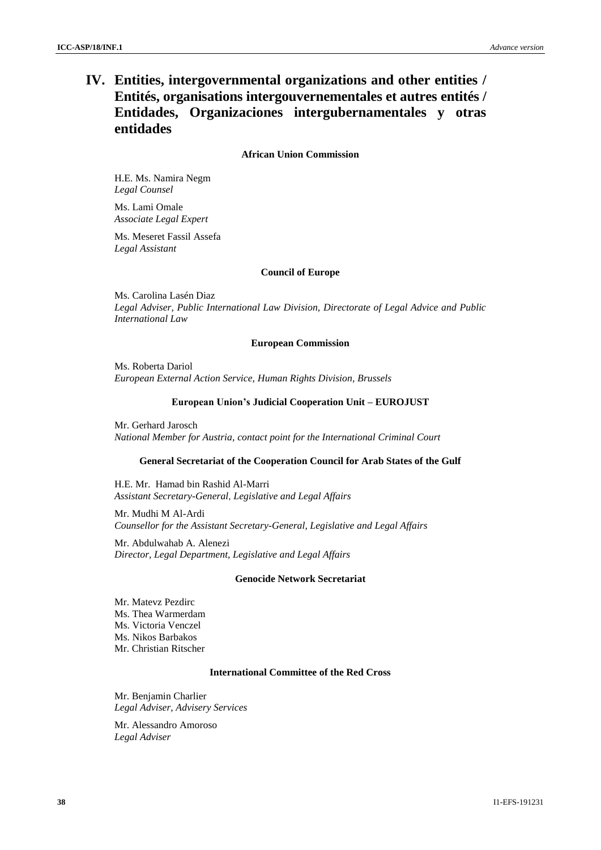# **IV. Entities, intergovernmental organizations and other entities / Entités, organisations intergouvernementales et autres entités / Entidades, Organizaciones intergubernamentales y otras entidades**

#### **African Union Commission**

H.E. Ms. Namira Negm *Legal Counsel*

Ms. Lami Omale *Associate Legal Expert*

Ms. Meseret Fassil Assefa *Legal Assistant*

# **Council of Europe**

Ms. Carolina Lasén Diaz *Legal Adviser, Public International Law Division, Directorate of Legal Advice and Public International Law*

#### **European Commission**

Ms. Roberta Dariol *European External Action Service, Human Rights Division, Brussels*

#### **European Union's Judicial Cooperation Unit – EUROJUST**

Mr. Gerhard Jarosch *National Member for Austria, contact point for the International Criminal Court*

#### **General Secretariat of the Cooperation Council for Arab States of the Gulf**

H.E. Mr. Hamad bin Rashid Al-Marri *Assistant Secretary-General*, *Legislative and Legal Affairs*

Mr. Mudhi M Al-Ardi *Counsellor for the Assistant Secretary-General, Legislative and Legal Affairs*

Mr. Abdulwahab A. Alenezi *Director, Legal Department, Legislative and Legal Affairs*

#### **Genocide Network Secretariat**

Mr. Matevz Pezdirc Ms. Thea Warmerdam Ms. Victoria Venczel Ms. Nikos Barbakos Mr. Christian Ritscher

# **International Committee of the Red Cross**

Mr. Benjamin Charlier *Legal Adviser, Advisery Services*

Mr. Alessandro Amoroso *Legal Adviser*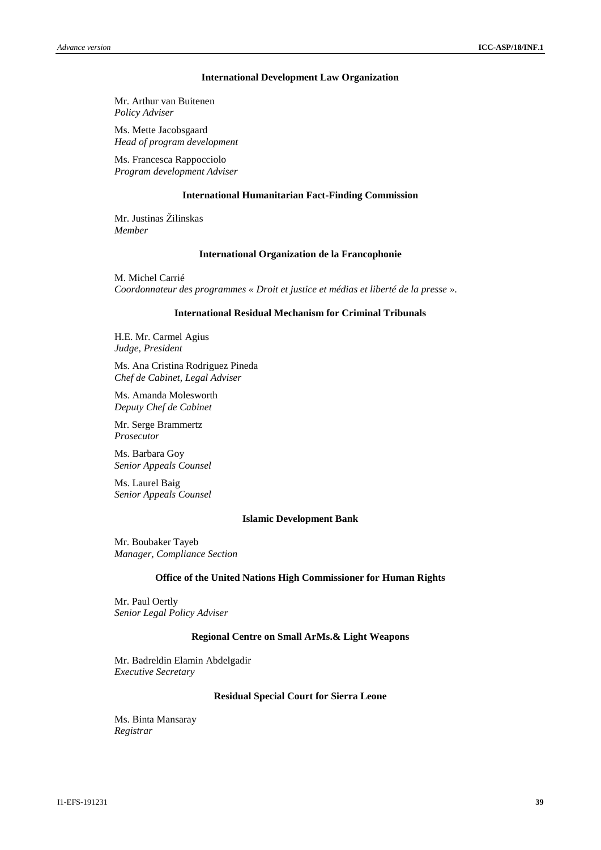#### **International Development Law Organization**

Mr. Arthur van Buitenen *Policy Adviser*

Ms. Mette Jacobsgaard *Head of program development*

Ms. Francesca Rappocciolo *Program development Adviser*

#### **International Humanitarian Fact-Finding Commission**

Mr. Justinas Žilinskas *Member*

#### **International Organization de la Francophonie**

M. Michel Carrié *Coordonnateur des programmes « Droit et justice et médias et liberté de la presse ».*

#### **International Residual Mechanism for Criminal Tribunals**

H.E. Mr. Carmel Agius *Judge, President*

Ms. Ana Cristina Rodriguez Pineda *Chef de Cabinet, Legal Adviser*

Ms. Amanda Molesworth *Deputy Chef de Cabinet*

Mr. Serge Brammertz *Prosecutor*

Ms. Barbara Goy *Senior Appeals Counsel*

Ms. Laurel Baig *Senior Appeals Counsel*

#### **Islamic Development Bank**

Mr. Boubaker Tayeb *Manager, Compliance Section*

#### **Office of the United Nations High Commissioner for Human Rights**

Mr. Paul Oertly *Senior Legal Policy Adviser*

#### **Regional Centre on Small ArMs.& Light Weapons**

Mr. Badreldin Elamin Abdelgadir *Executive Secretary*

#### **Residual Special Court for Sierra Leone**

Ms. Binta Mansaray *Registrar*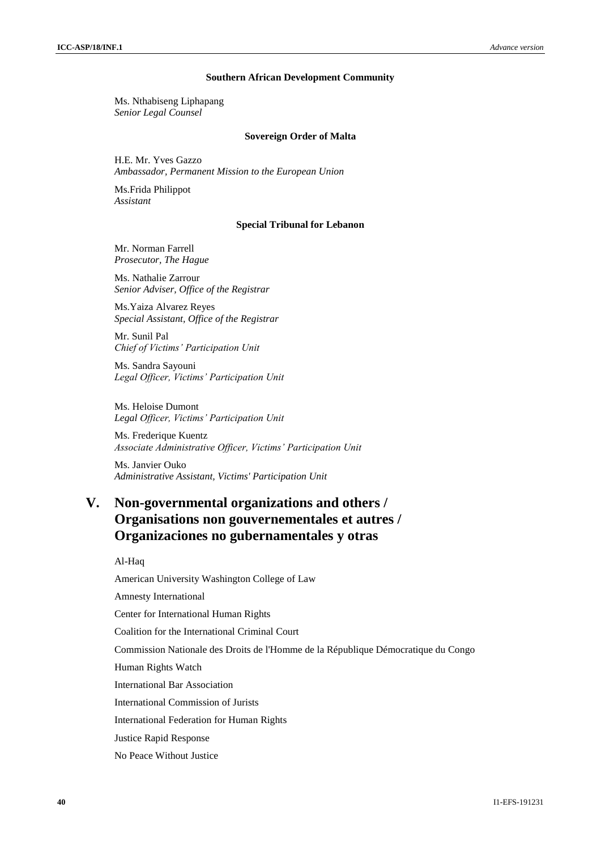#### **Southern African Development Community**

Ms. Nthabiseng Liphapang *Senior Legal Counsel*

#### **Sovereign Order of Malta**

H.E. Mr. Yves Gazzo *Ambassador, Permanent Mission to the European Union*

Ms.Frida Philippot *Assistant*

#### **Special Tribunal for Lebanon**

Mr. Norman Farrell *Prosecutor, The Hague*

Ms. Nathalie Zarrour *Senior Adviser, Office of the Registrar*

Ms.Yaiza Alvarez Reyes *Special Assistant, Office of the Registrar*

Mr. Sunil Pal *Chief of Victims' Participation Unit*

Ms. Sandra Sayouni *Legal Officer, Victims' Participation Unit*

Ms. Heloise Dumont *Legal Officer, Victims' Participation Unit*

Ms. Frederique Kuentz *Associate Administrative Officer, Victims' Participation Unit*

Ms. Janvier Ouko *Administrative Assistant, Victims' Participation Unit*

# **V. Non-governmental organizations and others / Organisations non gouvernementales et autres / Organizaciones no gubernamentales y otras**

Al-Haq

American University Washington College of Law Amnesty International

Center for International Human Rights

Coalition for the International Criminal Court

Commission Nationale des Droits de l'Homme de la République Démocratique du Congo

Human Rights Watch

International Bar Association

International Commission of Jurists

International Federation for Human Rights

Justice Rapid Response

No Peace Without Justice